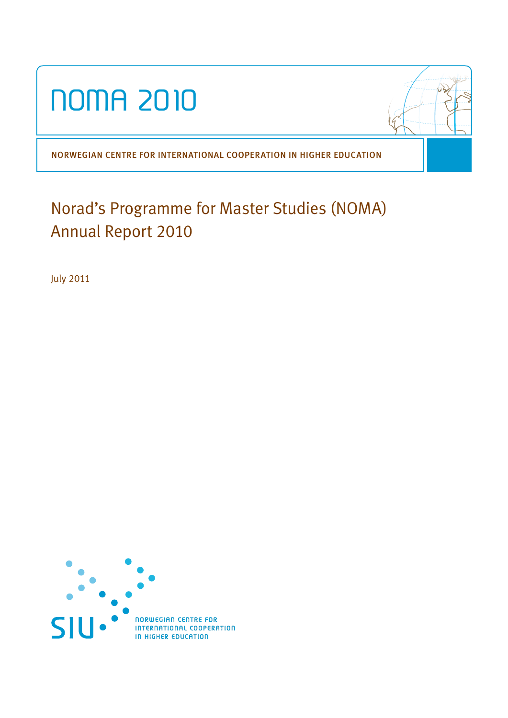

NORWEGIAN CENTRE FOR INTERNATIONAL COOPERATION IN HIGHER EDUCATION

# Norad's Programme for Master Studies (NOMA) Annual Report 2010

July 2011

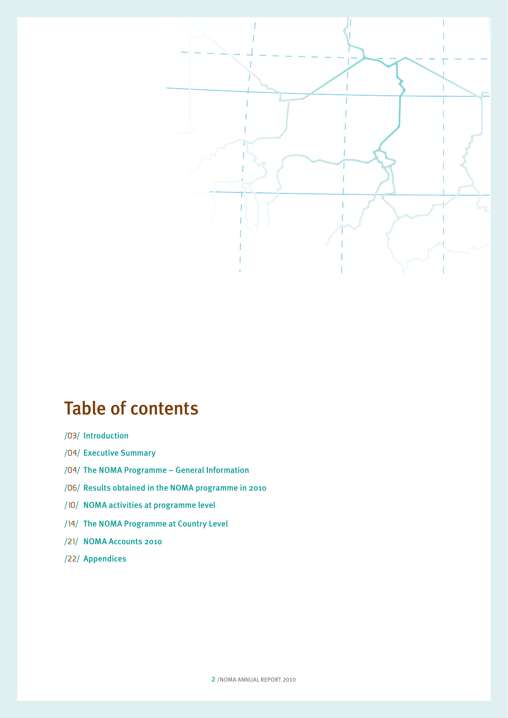

# Table of contents

- /03/ Introduction
- /04/ Executive Summary
- /04/ The NOMA Programme General Information
- /06/ Results obtained in the NOMA programme in 2010
- /10/ NOMA activities at programme level
- /14/ The NOMA Programme at Country Level
- /21/ NOMA Accounts 2010
- /22/ Appendices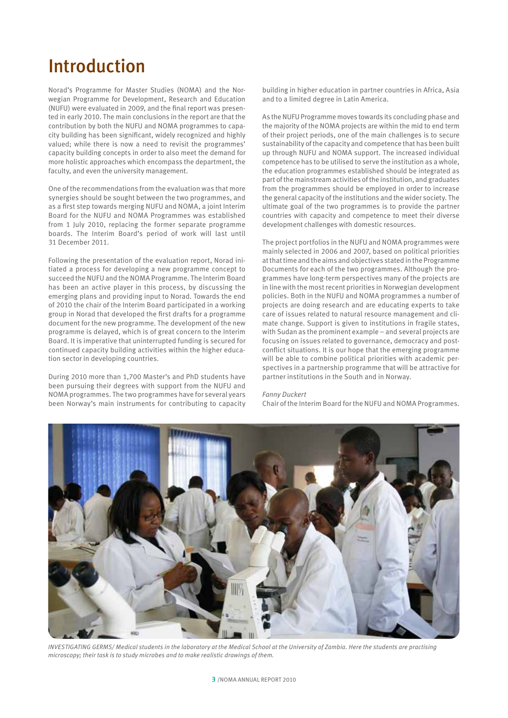# Introduction

Norad's Programme for Master Studies (NOMA) and the Norwegian Programme for Development, Research and Education (NUFU) were evaluated in 2009, and the final report was presented in early 2010. The main conclusions in the report are that the contribution by both the NUFU and NOMA programmes to capacity building has been significant, widely recognized and highly valued; while there is now a need to revisit the programmes' capacity building concepts in order to also meet the demand for more holistic approaches which encompass the department, the faculty, and even the university management.

One of the recommendations from the evaluation was that more synergies should be sought between the two programmes, and as a first step towards merging NUFU and NOMA, a joint Interim Board for the NUFU and NOMA Programmes was established from 1 July 2010, replacing the former separate programme boards. The Interim Board's period of work will last until 31 December 2011.

Following the presentation of the evaluation report, Norad initiated a process for developing a new programme concept to succeed the NUFU and the NOMA Programme. The Interim Board has been an active player in this process, by discussing the emerging plans and providing input to Norad. Towards the end of 2010 the chair of the Interim Board participated in a working group in Norad that developed the first drafts for a programme document for the new programme. The development of the new programme is delayed, which is of great concern to the Interim Board. It is imperative that uninterrupted funding is secured for continued capacity building activities within the higher education sector in developing countries.

During 2010 more than 1,700 Master's and PhD students have been pursuing their degrees with support from the NUFU and NOMA programmes. The two programmes have for several years been Norway's main instruments for contributing to capacity

building in higher education in partner countries in Africa, Asia and to a limited degree in Latin America.

As the NUFU Programme moves towards its concluding phase and the majority of the NOMA projects are within the mid to end term of their project periods, one of the main challenges is to secure sustainability of the capacity and competence that has been built up through NUFU and NOMA support. The increased individual competence has to be utilised to serve the institution as a whole, the education programmes established should be integrated as part of the mainstream activities of the institution, and graduates from the programmes should be employed in order to increase the general capacity of the institutions and the wider society. The ultimate goal of the two programmes is to provide the partner countries with capacity and competence to meet their diverse development challenges with domestic resources.

The project portfolios in the NUFU and NOMA programmes were mainly selected in 2006 and 2007, based on political priorities at that time and the aims and objectives stated in the Programme Documents for each of the two programmes. Although the programmes have long-term perspectives many of the projects are in line with the most recent priorities in Norwegian development policies. Both in the NUFU and NOMA programmes a number of projects are doing research and are educating experts to take care of issues related to natural resource management and climate change. Support is given to institutions in fragile states, with Sudan as the prominent example – and several projects are focusing on issues related to governance, democracy and postconflict situations. It is our hope that the emerging programme will be able to combine political priorities with academic perspectives in a partnership programme that will be attractive for partner institutions in the South and in Norway.

#### *Fanny Duckert*

Chair of the Interim Board for the NUFU and NOMA Programmes.



*INVESTIGATING GERMS/ Medical students in the laboratory at the Medical School at the University of Zambia. Here the students are practising microscopy; their task is to study microbes and to make realistic drawings of them.*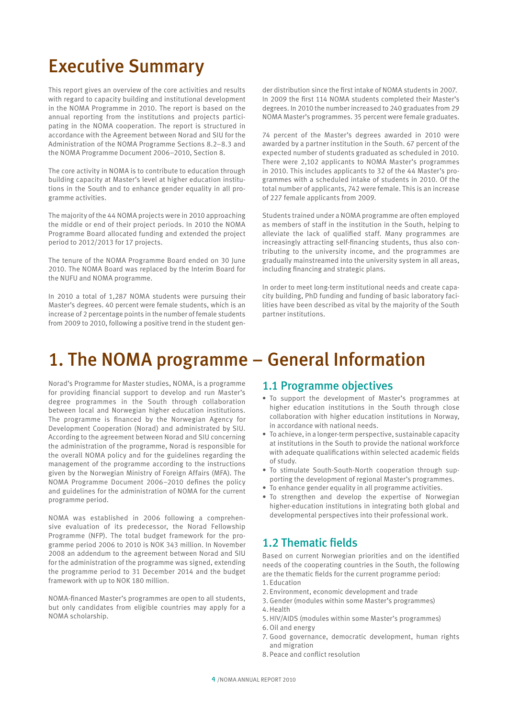# Executive Summary

This report gives an overview of the core activities and results with regard to capacity building and institutional development in the NOMA Programme in 2010. The report is based on the annual reporting from the institutions and projects participating in the NOMA cooperation. The report is structured in accordance with the Agreement between Norad and SIU for the Administration of the NOMA Programme Sections 8.2–8.3 and the NOMA Programme Document 2006–2010, Section 8.

The core activity in NOMA is to contribute to education through building capacity at Master's level at higher education institutions in the South and to enhance gender equality in all programme activities.

The majority of the 44 NOMA projects were in 2010 approaching the middle or end of their project periods. In 2010 the NOMA Programme Board allocated funding and extended the project period to 2012/2013 for 17 projects.

The tenure of the NOMA Programme Board ended on 30 June 2010. The NOMA Board was replaced by the Interim Board for the NUFU and NOMA programme.

In 2010 a total of 1,287 NOMA students were pursuing their Master's degrees. 40 percent were female students, which is an increase of 2 percentage points in the number of female students from 2009 to 2010, following a positive trend in the student gen-

der distribution since the first intake of NOMA students in 2007. In 2009 the first 114 NOMA students completed their Master's degrees. In 2010 the number increased to 240 graduates from 29 NOMA Master's programmes. 35 percent were female graduates.

74 percent of the Master's degrees awarded in 2010 were awarded by a partner institution in the South. 67 percent of the expected number of students graduated as scheduled in 2010. There were 2,102 applicants to NOMA Master's programmes in 2010. This includes applicants to 32 of the 44 Master's programmes with a scheduled intake of students in 2010. Of the total number of applicants, 742 were female. This is an increase of 227 female applicants from 2009.

Students trained under a NOMA programme are often employed as members of staff in the institution in the South, helping to alleviate the lack of qualified staff. Many programmes are increasingly attracting self-financing students, thus also contributing to the university income, and the programmes are gradually mainstreamed into the university system in all areas, including financing and strategic plans.

In order to meet long-term institutional needs and create capacity building, PhD funding and funding of basic laboratory facilities have been described as vital by the majority of the South partner institutions.

# 1. The NOMA programme – General Information

Norad's Programme for Master studies, NOMA, is a programme for providing financial support to develop and run Master's degree programmes in the South through collaboration between local and Norwegian higher education institutions. The programme is financed by the Norwegian Agency for Development Cooperation (Norad) and administrated by SIU. According to the agreement between Norad and SIU concerning the administration of the programme, Norad is responsible for the overall NOMA policy and for the guidelines regarding the management of the programme according to the instructions given by the Norwegian Ministry of Foreign Affairs (MFA). The NOMA Programme Document 2006–2010 defines the policy and guidelines for the administration of NOMA for the current programme period.

NOMA was established in 2006 following a comprehensive evaluation of its predecessor, the Norad Fellowship Programme (NFP). The total budget framework for the programme period 2006 to 2010 is NOK 343 million. In November 2008 an addendum to the agreement between Norad and SIU for the administration of the programme was signed, extending the programme period to 31 December 2014 and the budget framework with up to NOK 180 million.

NOMA-financed Master's programmes are open to all students, but only candidates from eligible countries may apply for a NOMA scholarship.

# 1.1 Programme objectives

- To support the development of Master's programmes at higher education institutions in the South through close collaboration with higher education institutions in Norway, in accordance with national needs.
- To achieve, in a longer-term perspective, sustainable capacity at institutions in the South to provide the national workforce with adequate qualifications within selected academic fields of study.
- To stimulate South-South-North cooperation through supporting the development of regional Master's programmes.
- To enhance gender equality in all programme activities.
- To strengthen and develop the expertise of Norwegian higher-education institutions in integrating both global and developmental perspectives into their professional work.

# 1.2 Thematic fields

Based on current Norwegian priorities and on the identified needs of the cooperating countries in the South, the following are the thematic fields for the current programme period: 1. Education

- 2. Environment, economic development and trade
- 3. Gender (modules within some Master's programmes)
- 4.Health
- 5. HIV/AIDS (modules within some Master's programmes) 6.Oil and energy
- 7. Good governance, democratic development, human rights and migration
- 8. Peace and conflict resolution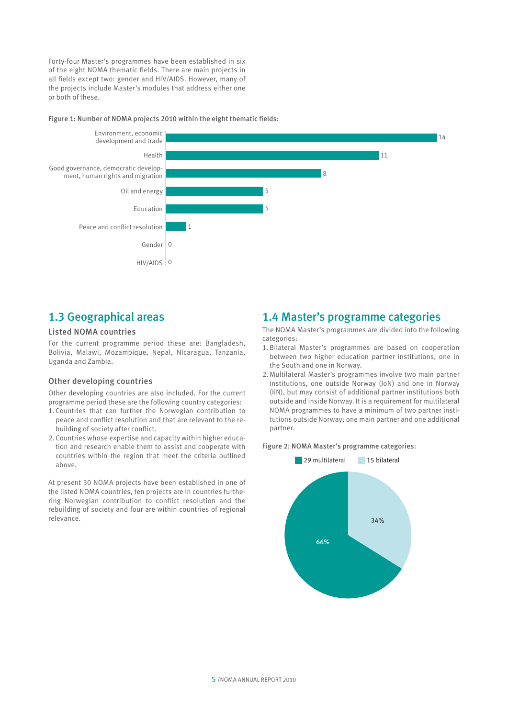Forty-four Master's programmes have been established in six of the eight NOMA thematic fields. There are main projects in all fields except two: gender and HIV/AIDS. However, many of the projects include Master's modules that address either one or both of these.

#### Figure 1: Number of NOMA projects 2010 within the eight thematic fields:



# 1.3 Geographical areas

## Listed NOMA countries

For the current programme period these are: Bangladesh, Bolivia, Malawi, Mozambique, Nepal, Nicaragua, Tanzania, Uganda and Zambia.

#### Other developing countries

Other developing countries are also included. For the current programme period these are the following country categories:

- 1. Countries that can further the Norwegian contribution to peace and conflict resolution and that are relevant to the rebuilding of society after conflict.
- 2. Countries whose expertise and capacity within higher education and research enable them to assist and cooperate with countries within the region that meet the criteria outlined above.

At present 30 NOMA projects have been established in one of the listed NOMA countries, ten projects are in countries furthering Norwegian contribution to conflict resolution and the rebuilding of society and four are within countries of regional relevance.

## 1.4 Master's programme categories

The NOMA Master's programmes are divided into the following categories:

- 1. Bilateral Master's programmes are based on cooperation between two higher education partner institutions, one in the South and one in Norway.
- 2. Multilateral Master's programmes involve two main partner institutions, one outside Norway (IoN) and one in Norway (IiN), but may consist of additional partner institutions both outside and inside Norway. It is a requirement for multilateral NOMA programmes to have a minimum of two partner institutions outside Norway; one main partner and one additional partner.

#### Figure 2: NOMA Master's programme categories:

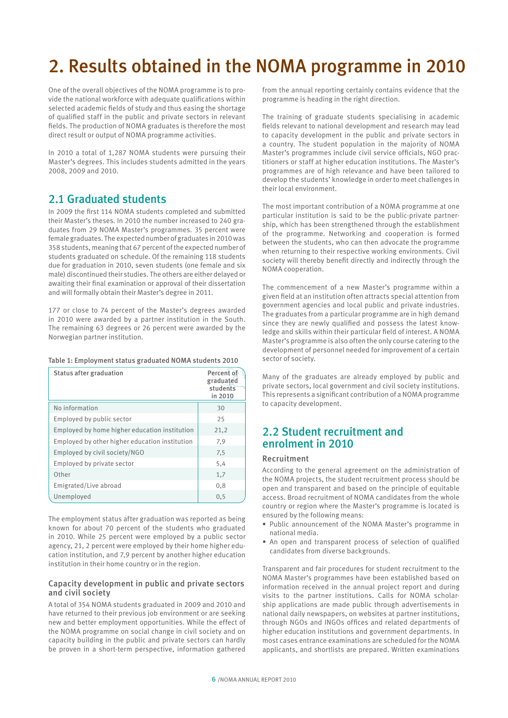# 2. Results obtained in the NOMA programme in 2010

One of the overall objectives of the NOMA programme is to provide the national workforce with adequate qualifications within selected academic fields of study and thus easing the shortage of qualified staff in the public and private sectors in relevant fields. The production of NOMA graduates is therefore the most direct result or output of NOMA programme activities.

In 2010 a total of 1,287 NOMA students were pursuing their Master's degrees. This includes students admitted in the years 2008, 2009 and 2010.

# 2.1 Graduated students

In 2009 the first 114 NOMA students completed and submitted their Master's theses. In 2010 the number increased to 240 graduates from 29 NOMA Master's programmes. 35 percent were female graduates. The expected number of graduates in 2010 was 358 students, meaning that 67 percent of the expected number of students graduated on schedule. Of the remaining 118 students due for graduation in 2010, seven students (one female and six male) discontinued their studies. The others are either delayed or awaiting their final examination or approval of their dissertation and will formally obtain their Master's degree in 2011.

177 or close to 74 percent of the Master's degrees awarded in 2010 were awarded by a partner institution in the South. The remaining 63 degrees or 26 percent were awarded by the Norwegian partner institution.

#### Table 1: Employment status graduated NOMA students 2010

| <b>Status after graduation</b>                 | Percent of<br>graduated<br>students<br>in 2010 |
|------------------------------------------------|------------------------------------------------|
| No information                                 | 30                                             |
| Employed by public sector                      | 25                                             |
| Employed by home higher education institution  | 21,2                                           |
| Employed by other higher education institution | 7,9                                            |
| Employed by civil society/NGO                  | 7,5                                            |
| Employed by private sector                     | 5,4                                            |
| Other                                          | 1,7                                            |
| Emigrated/Live abroad                          | 0,8                                            |
| Unemployed                                     | 0, 5                                           |

The employment status after graduation was reported as being known for about 70 percent of the students who graduated in 2010. While 25 percent were employed by a public sector agency, 21, 2 percent were employed by their home higher education institution, and 7,9 percent by another higher education institution in their home country or in the region.

#### Capacity development in public and private sectors and civil society

A total of 354 NOMA students graduated in 2009 and 2010 and have returned to their previous job environment or are seeking new and better employment opportunities. While the effect of the NOMA programme on social change in civil society and on capacity building in the public and private sectors can hardly be proven in a short-term perspective, information gathered

from the annual reporting certainly contains evidence that the programme is heading in the right direction.

The training of graduate students specialising in academic fields relevant to national development and research may lead to capacity development in the public and private sectors in a country. The student population in the majority of NOMA Master's programmes include civil service officials, NGO practitioners or staff at higher education institutions. The Master's programmes are of high relevance and have been tailored to develop the students' knowledge in order to meet challenges in their local environment.

The most important contribution of a NOMA programme at one particular institution is said to be the public-private partnership, which has been strengthened through the establishment of the programme. Networking and cooperation is formed between the students, who can then advocate the programme when returning to their respective working environments. Civil society will thereby benefit directly and indirectly through the NOMA cooperation.

The commencement of a new Master's programme within a given field at an institution often attracts special attention from government agencies and local public and private industries. The graduates from a particular programme are in high demand since they are newly qualified and possess the latest knowledge and skills within their particular field of interest. A NOMA Master's programme is also often the only course catering to the development of personnel needed for improvement of a certain sector of society.

Many of the graduates are already employed by public and private sectors, local government and civil society institutions. This represents a significant contribution of a NOMA programme to capacity development.

## 2.2 Student recruitment and enrolment in 2010

#### Recruitment

According to the general agreement on the administration of the NOMA projects, the student recruitment process should be open and transparent and based on the principle of equitable access. Broad recruitment of NOMA candidates from the whole country or region where the Master's programme is located is ensured by the following means:

- • Public announcement of the NOMA Master's programme in national media.
- An open and transparent process of selection of qualified candidates from diverse backgrounds.

Transparent and fair procedures for student recruitment to the NOMA Master's programmes have been established based on information received in the annual project report and during visits to the partner institutions. Calls for NOMA scholarship applications are made public through advertisements in national daily newspapers, on websites at partner institutions, through NGOs and INGOs offices and related departments of higher education institutions and government departments. In most cases entrance examinations are scheduled for the NOMA applicants, and shortlists are prepared. Written examinations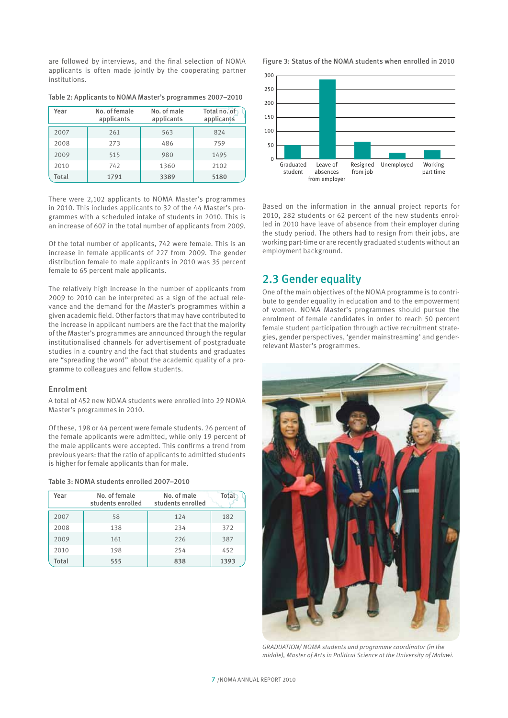are followed by interviews, and the final selection of NOMA applicants is often made jointly by the cooperating partner institutions.

Table 2: Applicants to NOMA Master's programmes 2007–2010

| Year         | No. of female<br>applicants | No. of male<br>applicants | Total no. of<br>applicants |
|--------------|-----------------------------|---------------------------|----------------------------|
| 2007         | 261                         | 563                       | 824                        |
| 2008         | 273                         | 486                       | 759                        |
| 2009         | 515                         | 980                       | 1495                       |
| 2010         | 742                         | 1360                      | 2102                       |
| <b>Total</b> | 1791                        | 3389                      | 5180                       |

There were 2,102 applicants to NOMA Master's programmes in 2010. This includes applicants to 32 of the 44 Master's programmes with a scheduled intake of students in 2010. This is an increase of 607 in the total number of applicants from 2009.

Of the total number of applicants, 742 were female. This is an increase in female applicants of 227 from 2009. The gender distribution female to male applicants in 2010 was 35 percent female to 65 percent male applicants.

The relatively high increase in the number of applicants from 2009 to 2010 can be interpreted as a sign of the actual relevance and the demand for the Master's programmes within a given academic field. Other factors that may have contributed to the increase in applicant numbers are the fact that the majority of the Master's programmes are announced through the regular institutionalised channels for advertisement of postgraduate studies in a country and the fact that students and graduates are "spreading the word" about the academic quality of a programme to colleagues and fellow students.

#### Enrolment

A total of 452 new NOMA students were enrolled into 29 NOMA Master's programmes in 2010.

Of these, 198 or 44 percent were female students. 26 percent of the female applicants were admitted, while only 19 percent of the male applicants were accepted. This confirms a trend from previous years: that the ratio of applicants to admitted students is higher for female applicants than for male.

#### Table 3: NOMA students enrolled 2007–2010

| Year  | No. of female<br>students enrolled | No. of male<br>students enrolled | Tota |
|-------|------------------------------------|----------------------------------|------|
| 2007  | 58                                 | 124                              | 182  |
| 2008  | 138                                | 234                              | 372  |
| 2009  | 161                                | 226                              | 387  |
| 2010  | 198                                | 254                              | 452  |
| Total | 555                                | 838                              | 1393 |

Figure 3: Status of the NOMA students when enrolled in 2010



Based on the information in the annual project reports for 2010, 282 students or 62 percent of the new students enrolled in 2010 have leave of absence from their employer during the study period. The others had to resign from their jobs, are working part-time or are recently graduated students without an employment background.

## 2.3 Gender equality

One of the main objectives of the NOMA programme is to contribute to gender equality in education and to the empowerment of women. NOMA Master's programmes should pursue the enrolment of female candidates in order to reach 50 percent female student participation through active recruitment strategies, gender perspectives, 'gender mainstreaming' and genderrelevant Master's programmes.



*GRADUATION/ NOMA students and programme coordinator (in the middle), Master of Arts in Political Science at the University of Malawi.*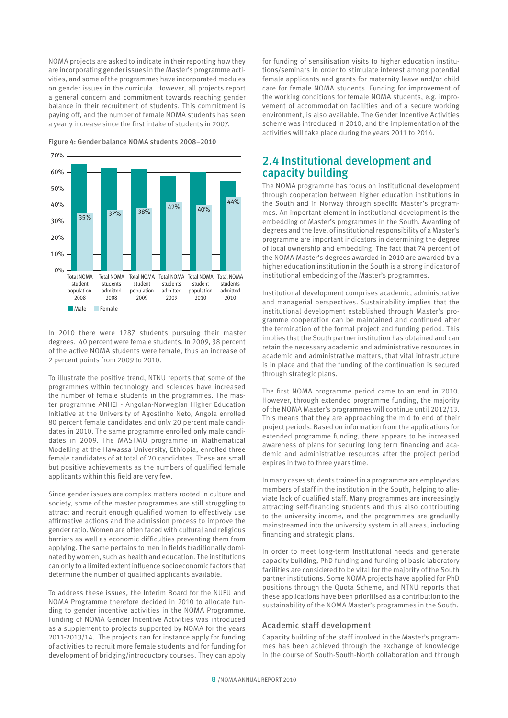NOMA projects are asked to indicate in their reporting how they are incorporating gender issues in the Master's programme activities, and some of the programmes have incorporated modules on gender issues in the curricula. However, all projects report a general concern and commitment towards reaching gender balance in their recruitment of students. This commitment is paying off, and the number of female NOMA students has seen a yearly increase since the first intake of students in 2007.

 Total NOMA Total NOMA Total NOMA Total NOMA Total NOMA Total NOMA student students student students student students population admitted population admitted population admitted 2008 2008 2009 2009 2010 2010 **Male** Female  $0%$ 10% 20% 30% 40% 50% 60% 70% 35% 37% 38%  $42\%$   $40\%$ 44%

Figure 4: Gender balance NOMA students 2008–2010

In 2010 there were 1287 students pursuing their master degrees. 40 percent were female students. In 2009, 38 percent of the active NOMA students were female, thus an increase of 2 percent points from 2009 to 2010.

To illustrate the positive trend, NTNU reports that some of the programmes within technology and sciences have increased the number of female students in the programmes. The master programme ANHEI - Angolan-Norwegian Higher Education Initiative at the University of Agostinho Neto, Angola enrolled 80 percent female candidates and only 20 percent male candidates in 2010. The same programme enrolled only male candidates in 2009. The MASTMO programme in Mathematical Modelling at the Hawassa University, Ethiopia, enrolled three female candidates of at total of 20 candidates. These are small but positive achievements as the numbers of qualified female applicants within this field are very few.

Since gender issues are complex matters rooted in culture and society, some of the master programmes are still struggling to attract and recruit enough qualified women to effectively use affirmative actions and the admission process to improve the gender ratio. Women are often faced with cultural and religious barriers as well as economic difficulties preventing them from applying. The same pertains to men in fields traditionally dominated by women, such as health and education. The institutions can only to a limited extent influence socioeconomic factors that determine the number of qualified applicants available.

To address these issues, the Interim Board for the NUFU and NOMA Programme therefore decided in 2010 to allocate funding to gender incentive activities in the NOMA Programme. Funding of NOMA Gender Incentive Activities was introduced as a supplement to projects supported by NOMA for the years 2011-2013/14. The projects can for instance apply for funding of activities to recruit more female students and for funding for development of bridging/introductory courses. They can apply

for funding of sensitisation visits to higher education institutions/seminars in order to stimulate interest among potential female applicants and grants for maternity leave and/or child care for female NOMA students. Funding for improvement of the working conditions for female NOMA students, e.g. improvement of accommodation facilities and of a secure working environment, is also available. The Gender Incentive Activities scheme was introduced in 2010, and the implementation of the activities will take place during the years 2011 to 2014.

# 2.4 Institutional development and capacity building

The NOMA programme has focus on institutional development through cooperation between higher education institutions in the South and in Norway through specific Master's programmes. An important element in institutional development is the embedding of Master's programmes in the South. Awarding of degrees and the level of institutional responsibility of a Master's programme are important indicators in determining the degree of local ownership and embedding. The fact that 74 percent of the NOMA Master's degrees awarded in 2010 are awarded by a higher education institution in the South is a strong indicator of institutional embedding of the Master's programmes.

Institutional development comprises academic, administrative and managerial perspectives. Sustainability implies that the institutional development established through Master's programme cooperation can be maintained and continued after the termination of the formal project and funding period. This implies that the South partner institution has obtained and can retain the necessary academic and administrative resources in academic and administrative matters, that vital infrastructure is in place and that the funding of the continuation is secured through strategic plans.

The first NOMA programme period came to an end in 2010. However, through extended programme funding, the majority of the NOMA Master's programmes will continue until 2012/13. This means that they are approaching the mid to end of their project periods. Based on information from the applications for extended programme funding, there appears to be increased awareness of plans for securing long term financing and academic and administrative resources after the project period expires in two to three years time.

In many cases students trained in a programme are employed as members of staff in the institution in the South, helping to alleviate lack of qualified staff. Many programmes are increasingly attracting self-financing students and thus also contributing to the university income, and the programmes are gradually mainstreamed into the university system in all areas, including financing and strategic plans.

In order to meet long-term institutional needs and generate capacity building, PhD funding and funding of basic laboratory facilities are considered to be vital for the majority of the South partner institutions. Some NOMA projects have applied for PhD positions through the Quota Scheme, and NTNU reports that these applications have been prioritised as a contribution to the sustainability of the NOMA Master's programmes in the South.

#### Academic staff development

Capacity building of the staff involved in the Master's programmes has been achieved through the exchange of knowledge in the course of South-South-North collaboration and through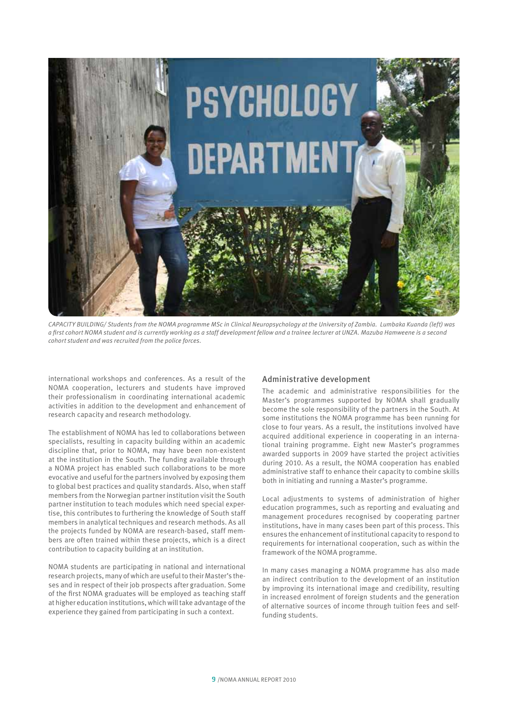

*CAPACITY BUILDING/ Students from the NOMA programme MSc in Clinical Neuropsychology at the University of Zambia. Lumbaka Kuanda (left) was a first cohort NOMA student and is currently working as a staff development fellow and a trainee lecturer at UNZA. Mazuba Hamweene is a second cohort student and was recruited from the police forces.*

international workshops and conferences. As a result of the NOMA cooperation, lecturers and students have improved their professionalism in coordinating international academic activities in addition to the development and enhancement of research capacity and research methodology.

The establishment of NOMA has led to collaborations between specialists, resulting in capacity building within an academic discipline that, prior to NOMA, may have been non-existent at the institution in the South. The funding available through a NOMA project has enabled such collaborations to be more evocative and useful for the partners involved by exposing them to global best practices and quality standards. Also, when staff members from the Norwegian partner institution visit the South partner institution to teach modules which need special expertise, this contributes to furthering the knowledge of South staff members in analytical techniques and research methods. As all the projects funded by NOMA are research-based, staff members are often trained within these projects, which is a direct contribution to capacity building at an institution.

NOMA students are participating in national and international research projects, many of which are useful to their Master's theses and in respect of their job prospects after graduation. Some of the first NOMA graduates will be employed as teaching staff at higher education institutions, which will take advantage of the experience they gained from participating in such a context.

#### Administrative development

The academic and administrative responsibilities for the Master's programmes supported by NOMA shall gradually become the sole responsibility of the partners in the South. At some institutions the NOMA programme has been running for close to four years. As a result, the institutions involved have acquired additional experience in cooperating in an international training programme. Eight new Master's programmes awarded supports in 2009 have started the project activities during 2010. As a result, the NOMA cooperation has enabled administrative staff to enhance their capacity to combine skills both in initiating and running a Master's programme.

Local adjustments to systems of administration of higher education programmes, such as reporting and evaluating and management procedures recognised by cooperating partner institutions, have in many cases been part of this process. This ensures the enhancement of institutional capacity to respond to requirements for international cooperation, such as within the framework of the NOMA programme.

In many cases managing a NOMA programme has also made an indirect contribution to the development of an institution by improving its international image and credibility, resulting in increased enrolment of foreign students and the generation of alternative sources of income through tuition fees and selffunding students.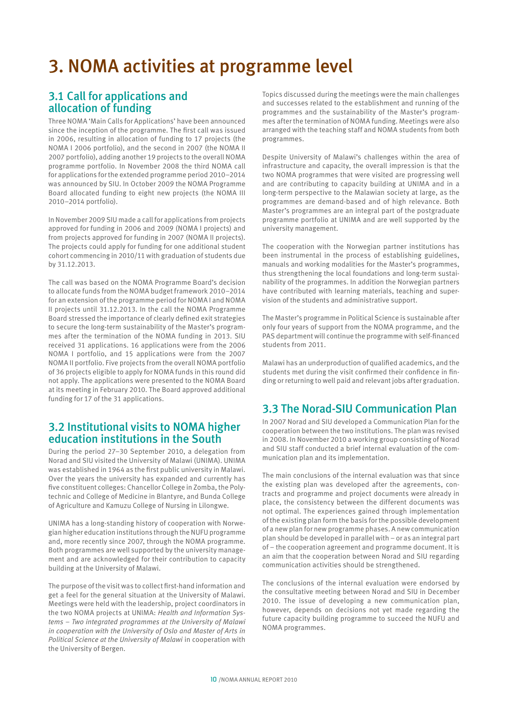# 3. NOMA activities at programme level

# 3.1 Call for applications and allocation of funding

Three NOMA 'Main Calls for Applications' have been announced since the inception of the programme. The first call was issued in 2006, resulting in allocation of funding to 17 projects (the NOMA I 2006 portfolio), and the second in 2007 (the NOMA II 2007 portfolio), adding another 19 projects to the overall NOMA programme portfolio. In November 2008 the third NOMA call for applications for the extended programme period 2010–2014 was announced by SIU. In October 2009 the NOMA Programme Board allocated funding to eight new projects (the NOMA III 2010–2014 portfolio).

In November 2009 SIU made a call for applications from projects approved for funding in 2006 and 2009 (NOMA I projects) and from projects approved for funding in 2007 (NOMA II projects). The projects could apply for funding for one additional student cohort commencing in 2010/11 with graduation of students due by 31.12.2013.

The call was based on the NOMA Programme Board's decision to allocate funds from the NOMA budget framework 2010–2014 for an extension of the programme period for NOMA I and NOMA II projects until 31.12.2013. In the call the NOMA Programme Board stressed the importance of clearly defined exit strategies to secure the long-term sustainability of the Master's programmes after the termination of the NOMA funding in 2013. SIU received 31 applications. 16 applications were from the 2006 NOMA I portfolio, and 15 applications were from the 2007 NOMA II portfolio. Five projects from the overall NOMA portfolio of 36 projects eligible to apply for NOMA funds in this round did not apply. The applications were presented to the NOMA Board at its meeting in February 2010. The Board approved additional funding for 17 of the 31 applications.

## 3.2 Institutional visits to NOMA higher education institutions in the South

During the period 27–30 September 2010, a delegation from Norad and SIU visited the University of Malawi (UNIMA). UNIMA was established in 1964 as the first public university in Malawi. Over the years the university has expanded and currently has five constituent colleges: Chancellor College in Zomba, the Polytechnic and College of Medicine in Blantyre, and Bunda College of Agriculture and Kamuzu College of Nursing in Lilongwe.

UNIMA has a long-standing history of cooperation with Norwegian higher education institutions through the NUFU programme and, more recently since 2007, through the NOMA programme. Both programmes are well supported by the university management and are acknowledged for their contribution to capacity building at the University of Malawi.

The purpose of the visit was to collect first-hand information and get a feel for the general situation at the University of Malawi. Meetings were held with the leadership, project coordinators in the two NOMA projects at UNIMA: *Health and Information Systems – Two integrated programmes at the University of Malawi in cooperation with the University of Oslo and Master of Arts in Political Science at the University of Malawi* in cooperation with the University of Bergen.

Topics discussed during the meetings were the main challenges and successes related to the establishment and running of the programmes and the sustainability of the Master's programmes after the termination of NOMA funding. Meetings were also arranged with the teaching staff and NOMA students from both programmes.

Despite University of Malawi's challenges within the area of infrastructure and capacity, the overall impression is that the two NOMA programmes that were visited are progressing well and are contributing to capacity building at UNIMA and in a long-term perspective to the Malawian society at large, as the programmes are demand-based and of high relevance. Both Master's programmes are an integral part of the postgraduate programme portfolio at UNIMA and are well supported by the university management.

The cooperation with the Norwegian partner institutions has been instrumental in the process of establishing guidelines, manuals and working modalities for the Master's programmes, thus strengthening the local foundations and long-term sustainability of the programmes. In addition the Norwegian partners have contributed with learning materials, teaching and supervision of the students and administrative support.

The Master's programme in Political Science is sustainable after only four years of support from the NOMA programme, and the PAS department will continue the programme with self-financed students from 2011.

Malawi has an underproduction of qualified academics, and the students met during the visit confirmed their confidence in finding or returning to well paid and relevant jobs after graduation.

# 3.3 The Norad-SIU Communication Plan

In 2007 Norad and SIU developed a Communication Plan for the cooperation between the two institutions. The plan was revised in 2008. In November 2010 a working group consisting of Norad and SIU staff conducted a brief internal evaluation of the communication plan and its implementation.

The main conclusions of the internal evaluation was that since the existing plan was developed after the agreements, contracts and programme and project documents were already in place, the consistency between the different documents was not optimal. The experiences gained through implementation of the existing plan form the basis for the possible development of a new plan for new programme phases. A new communication plan should be developed in parallel with – or as an integral part of – the cooperation agreement and programme document. It is an aim that the cooperation between Norad and SIU regarding communication activities should be strengthened.

The conclusions of the internal evaluation were endorsed by the consultative meeting between Norad and SIU in December 2010. The issue of developing a new communication plan, however, depends on decisions not yet made regarding the future capacity building programme to succeed the NUFU and NOMA programmes.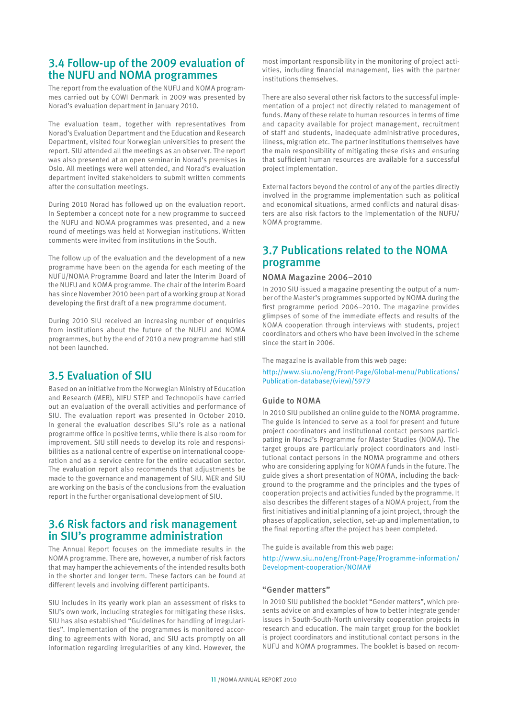# 3.4 Follow-up of the 2009 evaluation of the NUFU and NOMA programmes

The report from the evaluation of the NUFU and NOMA programmes carried out by COWI Denmark in 2009 was presented by Norad's evaluation department in January 2010.

The evaluation team, together with representatives from Norad's Evaluation Department and the Education and Research Department, visited four Norwegian universities to present the report. SIU attended all the meetings as an observer. The report was also presented at an open seminar in Norad's premises in Oslo. All meetings were well attended, and Norad's evaluation department invited stakeholders to submit written comments after the consultation meetings.

During 2010 Norad has followed up on the evaluation report. In September a concept note for a new programme to succeed the NUFU and NOMA programmes was presented, and a new round of meetings was held at Norwegian institutions. Written comments were invited from institutions in the South.

The follow up of the evaluation and the development of a new programme have been on the agenda for each meeting of the NUFU/NOMA Programme Board and later the Interim Board of the NUFU and NOMA programme. The chair of the Interim Board has since November 2010 been part of a working group at Norad developing the first draft of a new programme document.

During 2010 SIU received an increasing number of enquiries from institutions about the future of the NUFU and NOMA programmes, but by the end of 2010 a new programme had still not been launched.

# 3.5 Evaluation of SIU

Based on an initiative from the Norwegian Ministry of Education and Research (MER), NIFU STEP and Technopolis have carried out an evaluation of the overall activities and performance of SIU. The evaluation report was presented in October 2010. In general the evaluation describes SIU's role as a national programme office in positive terms, while there is also room for improvement. SIU still needs to develop its role and responsibilities as a national centre of expertise on international cooperation and as a service centre for the entire education sector. The evaluation report also recommends that adjustments be made to the governance and management of SIU. MER and SIU are working on the basis of the conclusions from the evaluation report in the further organisational development of SIU.

# 3.6 Risk factors and risk management in SIU's programme administration

The Annual Report focuses on the immediate results in the NOMA programme. There are, however, a number of risk factors that may hamper the achievements of the intended results both in the shorter and longer term. These factors can be found at different levels and involving different participants.

SIU includes in its yearly work plan an assessment of risks to SIU's own work, including strategies for mitigating these risks. SIU has also established "Guidelines for handling of irregularities". Implementation of the programmes is monitored according to agreements with Norad, and SIU acts promptly on all information regarding irregularities of any kind. However, the

most important responsibility in the monitoring of project activities, including financial management, lies with the partner institutions themselves.

There are also several other risk factors to the successful implementation of a project not directly related to management of funds. Many of these relate to human resources in terms of time and capacity available for project management, recruitment of staff and students, inadequate administrative procedures, illness, migration etc. The partner institutions themselves have the main responsibility of mitigating these risks and ensuring that sufficient human resources are available for a successful project implementation.

External factors beyond the control of any of the parties directly involved in the programme implementation such as political and economical situations, armed conflicts and natural disasters are also risk factors to the implementation of the NUFU/ NOMA programme.

# 3.7 Publications related to the NOMA programme

#### NOMA Magazine 2006–2010

In 2010 SIU issued a magazine presenting the output of a number of the Master's programmes supported by NOMA during the first programme period 2006–2010. The magazine provides glimpses of some of the immediate effects and results of the NOMA cooperation through interviews with students, project coordinators and others who have been involved in the scheme since the start in 2006.

The magazine is available from this web page:

http://www.siu.no/eng/Front-Page/Global-menu/Publications/ Publication-database/(view)/5979

### Guide to NOMA

In 2010 SIU published an online guide to the NOMA programme. The guide is intended to serve as a tool for present and future project coordinators and institutional contact persons participating in Norad's Programme for Master Studies (NOMA). The target groups are particularly project coordinators and institutional contact persons in the NOMA programme and others who are considering applying for NOMA funds in the future. The guide gives a short presentation of NOMA, including the background to the programme and the principles and the types of cooperation projects and activities funded by the programme. It also describes the different stages of a NOMA project, from the first initiatives and initial planning of a joint project, through the phases of application, selection, set-up and implementation, to the final reporting after the project has been completed.

The guide is available from this web page:

http://www.siu.no/eng/Front-Page/Programme-information/ Development-cooperation/NOMA#

#### "Gender matters"

In 2010 SIU published the booklet "Gender matters", which presents advice on and examples of how to better integrate gender issues in South-South-North university cooperation projects in research and education. The main target group for the booklet is project coordinators and institutional contact persons in the NUFU and NOMA programmes. The booklet is based on recom-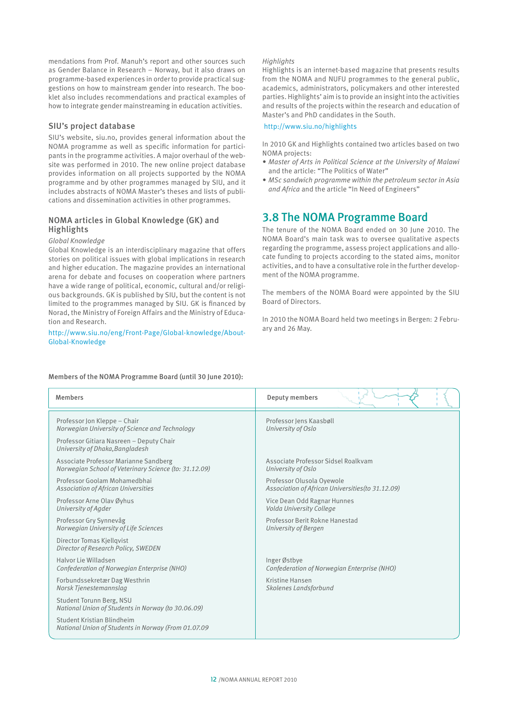mendations from Prof. Manuh's report and other sources such as Gender Balance in Research – Norway, but it also draws on programme-based experiences in order to provide practical suggestions on how to mainstream gender into research. The booklet also includes recommendations and practical examples of how to integrate gender mainstreaming in education activities.

#### SIU's project database

SIU's website, siu.no, provides general information about the NOMA programme as well as specific information for participants in the programme activities. A major overhaul of the website was performed in 2010. The new online project database provides information on all projects supported by the NOMA programme and by other programmes managed by SIU, and it includes abstracts of NOMA Master's theses and lists of publications and dissemination activities in other programmes.

#### NOMA articles in Global Knowledge (GK) and Highlights

#### *Global Knowledge*

Global Knowledge is an interdisciplinary magazine that offers stories on political issues with global implications in research and higher education. The magazine provides an international arena for debate and focuses on cooperation where partners have a wide range of political, economic, cultural and/or religious backgrounds. GK is published by SIU, but the content is not limited to the programmes managed by SIU. GK is financed by Norad, the Ministry of Foreign Affairs and the Ministry of Education and Research.

#### http://www.siu.no/eng/Front-Page/Global-knowledge/About-Global-Knowledge

#### *Highlights*

Highlights is an internet-based magazine that presents results from the NOMA and NUFU programmes to the general public, academics, administrators, policymakers and other interested parties. Highlights' aim is to provide an insight into the activities and results of the projects within the research and education of Master's and PhD candidates in the South.

#### http://www.siu.no/highlights

In 2010 GK and Highlights contained two articles based on two NOMA projects:

- *• Master of Arts in Political Science at the University of Malawi* and the article: "The Politics of Water"
- *• MSc sandwich programme within the petroleum sector in Asia and Africa* and the article "In Need of Engineers"

## 3.8 The NOMA Programme Board

The tenure of the NOMA Board ended on 30 June 2010. The NOMA Board's main task was to oversee qualitative aspects regarding the programme, assess project applications and allocate funding to projects according to the stated aims, monitor activities, and to have a consultative role in the further development of the NOMA programme.

The members of the NOMA Board were appointed by the SIU Board of Directors.

In 2010 the NOMA Board held two meetings in Bergen: 2 February and 26 May.

| <b>Members</b>                                                                    | Deputy members                                    |
|-----------------------------------------------------------------------------------|---------------------------------------------------|
| Professor Jon Kleppe - Chair                                                      | Professor Jens Kaasbøll                           |
| Norwegian University of Science and Technology                                    | University of Oslo                                |
| Professor Gitiara Nasreen - Deputy Chair<br>University of Dhaka, Bangladesh       |                                                   |
| Associate Professor Marianne Sandberg                                             | Associate Professor Sidsel Roalkvam               |
| Norwegian School of Veterinary Science (to: 31.12.09)                             | University of Oslo                                |
| Professor Goolam Mohamedbhai                                                      | Professor Olusola Oyewole                         |
| <b>Association of African Universities</b>                                        | Association of African Universities (to 31.12.09) |
| Professor Arne Olav Øyhus                                                         | Vice Dean Odd Ragnar Hunnes                       |
| University of Agder                                                               | Volda University College                          |
| Professor Gry Synnevåg                                                            | Professor Berit Rokne Hanestad                    |
| Norwegian University of Life Sciences                                             | University of Bergen                              |
| Director Tomas Kjellqvist<br>Director of Research Policy, SWEDEN                  |                                                   |
| Halvor Lie Willadsen                                                              | Inger Østbye                                      |
| Confederation of Norwegian Enterprise (NHO)                                       | Confederation of Norwegian Enterprise (NHO)       |
| Forbundssekretær Dag Westhrin                                                     | Kristine Hansen                                   |
| Norsk Tjenestemannslag                                                            | Skolenes Landsforbund                             |
| Student Torunn Berg, NSU<br>National Union of Students in Norway (to 30.06.09)    |                                                   |
| Student Kristian Blindheim<br>National Union of Students in Norway (From 01.07.09 |                                                   |

#### Members of the NOMA Programme Board (until 30 June 2010):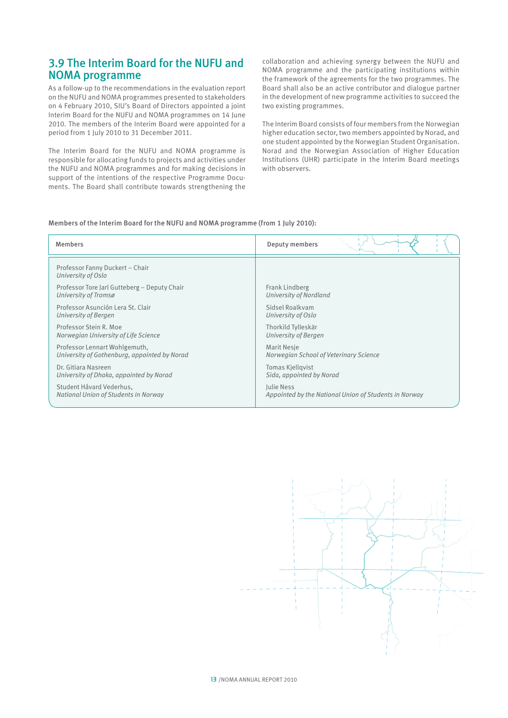# 3.9 The Interim Board for the NUFU and NOMA programme

As a follow-up to the recommendations in the evaluation report on the NUFU and NOMA programmes presented to stakeholders on 4 February 2010, SIU's Board of Directors appointed a joint Interim Board for the NUFU and NOMA programmes on 14 June 2010. The members of the Interim Board were appointed for a period from 1 July 2010 to 31 December 2011.

The Interim Board for the NUFU and NOMA programme is responsible for allocating funds to projects and activities under the NUFU and NOMA programmes and for making decisions in support of the intentions of the respective Programme Documents. The Board shall contribute towards strengthening the

collaboration and achieving synergy between the NUFU and NOMA programme and the participating institutions within the framework of the agreements for the two programmes. The Board shall also be an active contributor and dialogue partner in the development of new programme activities to succeed the two existing programmes.

The Interim Board consists of four members from the Norwegian higher education sector, two members appointed by Norad, and one student appointed by the Norwegian Student Organisation. Norad and the Norwegian Association of Higher Education Institutions (UHR) participate in the Interim Board meetings with observers.

#### Members of the Interim Board for the NUFU and NOMA programme (from 1 July 2010):

| <b>Members</b>                                        | Deputy members                                        |
|-------------------------------------------------------|-------------------------------------------------------|
| Professor Fanny Duckert - Chair<br>University of Oslo |                                                       |
| Professor Tore Jarl Gutteberg - Deputy Chair          | Frank Lindberg                                        |
| University of Tromsø                                  | University of Nordland                                |
| Professor Asunción Lera St. Clair                     | Sidsel Roalkvam                                       |
| University of Bergen                                  | University of Oslo                                    |
| Professor Stein R. Moe                                | Thorkild Tylleskär                                    |
| Norwegian University of Life Science                  | University of Bergen                                  |
| Professor Lennart Wohlgemuth,                         | Marit Nesje                                           |
| University of Gothenburg, appointed by Norad          | Norwegian School of Veterinary Science                |
| Dr. Gitiara Nasreen                                   | Tomas Kjellgvist                                      |
| University of Dhaka, appointed by Norad               | Sida, appointed by Norad                              |
| Student Håvard Vederhus.                              | Julie Ness                                            |
| National Union of Students in Norway                  | Appointed by the National Union of Students in Norway |

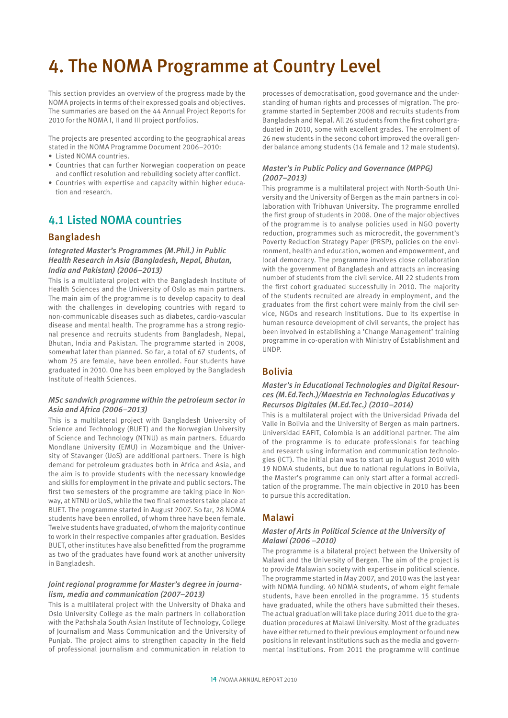# 4. The NOMA Programme at Country Level

This section provides an overview of the progress made by the NOMA projects in terms of their expressed goals and objectives. The summaries are based on the 44 Annual Project Reports for 2010 for the NOMA I, II and III project portfolios.

The projects are presented according to the geographical areas stated in the NOMA Programme Document 2006–2010:

- Listed NOMA countries.
- • Countries that can further Norwegian cooperation on peace and conflict resolution and rebuilding society after conflict.
- Countries with expertise and capacity within higher education and research.

# 4.1 Listed NOMA countries

### Bangladesh

#### *Integrated Master's Programmes (M.Phil.) in Public Health Research in Asia (Bangladesh, Nepal, Bhutan, India and Pakistan) (2006–2013)*

This is a multilateral project with the Bangladesh Institute of Health Sciences and the University of Oslo as main partners. The main aim of the programme is to develop capacity to deal with the challenges in developing countries with regard to non-communicable diseases such as diabetes, cardio-vascular disease and mental health. The programme has a strong regional presence and recruits students from Bangladesh, Nepal, Bhutan, India and Pakistan. The programme started in 2008, somewhat later than planned. So far, a total of 67 students, of whom 25 are female, have been enrolled. Four students have graduated in 2010. One has been employed by the Bangladesh Institute of Health Sciences.

#### *MSc sandwich programme within the petroleum sector in Asia and Africa (2006–2013)*

This is a multilateral project with Bangladesh University of Science and Technology (BUET) and the Norwegian University of Science and Technology (NTNU) as main partners. Eduardo Mondlane University (EMU) in Mozambique and the University of Stavanger (UoS) are additional partners. There is high demand for petroleum graduates both in Africa and Asia, and the aim is to provide students with the necessary knowledge and skills for employment in the private and public sectors. The first two semesters of the programme are taking place in Norway, at NTNU or UoS, while the two final semesters take place at BUET. The programme started in August 2007. So far, 28 NOMA students have been enrolled, of whom three have been female. Twelve students have graduated, of whom the majority continue to work in their respective companies after graduation. Besides BUET, other institutes have also benefitted from the programme as two of the graduates have found work at another university in Bangladesh.

### *Joint regional programme for Master's degree in journalism, media and communication (2007–2013)*

This is a multilateral project with the University of Dhaka and Oslo University College as the main partners in collaboration with the Pathshala South Asian Institute of Technology, College of Journalism and Mass Communication and the University of Punjab. The project aims to strengthen capacity in the field of professional journalism and communication in relation to

processes of democratisation, good governance and the understanding of human rights and processes of migration. The programme started in September 2008 and recruits students from Bangladesh and Nepal. All 26 students from the first cohort graduated in 2010, some with excellent grades. The enrolment of 26 new students in the second cohort improved the overall gender balance among students (14 female and 12 male students).

### *Master's in Public Policy and Governance (MPPG) (2007–2013)*

This programme is a multilateral project with North-South University and the University of Bergen as the main partners in collaboration with Tribhuvan University. The programme enrolled the first group of students in 2008. One of the major objectives of the programme is to analyse policies used in NGO poverty reduction, programmes such as microcredit, the government's Poverty Reduction Strategy Paper (PRSP), policies on the environment, health and education, women and empowerment, and local democracy. The programme involves close collaboration with the government of Bangladesh and attracts an increasing number of students from the civil service. All 22 students from the first cohort graduated successfully in 2010. The majority of the students recruited are already in employment, and the graduates from the first cohort were mainly from the civil service, NGOs and research institutions. Due to its expertise in human resource development of civil servants, the project has been involved in establishing a 'Change Management' training programme in co-operation with Ministry of Establishment and UNDP.

## Bolivia

#### *Master's in Educational Technologies and Digital Resources (M.Ed.Tech.)/Maestria en Technologias Educativas y Recursos Digitales (M.Ed.Tec.) (2010–2014)*

This is a multilateral project with the Universidad Privada del Valle in Bolivia and the University of Bergen as main partners. Universidad EAFIT, Colombia is an additional partner. The aim of the programme is to educate professionals for teaching and research using information and communication technologies (ICT). The initial plan was to start up in August 2010 with 19 NOMA students, but due to national regulations in Bolivia, the Master's programme can only start after a formal accreditation of the programme. The main objective in 2010 has been to pursue this accreditation.

## Malawi

#### *Master of Arts in Political Science at the University of Malawi (2006 –2010)*

The programme is a bilateral project between the University of Malawi and the University of Bergen. The aim of the project is to provide Malawian society with expertise in political science. The programme started in May 2007, and 2010 was the last year with NOMA funding. 40 NOMA students, of whom eight female students, have been enrolled in the programme. 15 students have graduated, while the others have submitted their theses. The actual graduation will take place during 2011 due to the graduation procedures at Malawi University. Most of the graduates have either returned to their previous employment or found new positions in relevant institutions such as the media and governmental institutions. From 2011 the programme will continue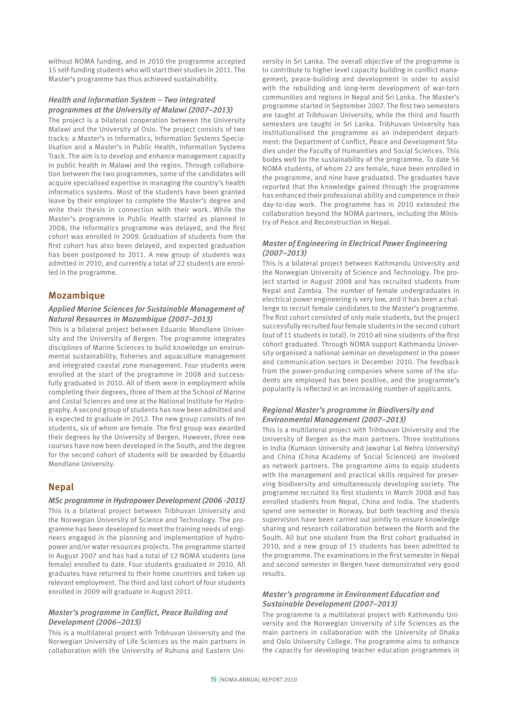without NOMA funding, and in 2010 the programme accepted 15 self-funding students who will start their studies in 2011. The Master's programme has thus achieved sustainability.

#### *Health and Information System – Two integrated programmes at the University of Malawi (2007–2013)*

The project is a bilateral cooperation between the University Malawi and the University of Oslo. The project consists of two tracks: a Master's in Informatics, Information Systems Specialisation and a Master's in Public Health, Information Systems Track. The aim is to develop and enhance management capacity in public health in Malawi and the region. Through collaboration between the two programmes, some of the candidates will acquire specialised expertise in managing the country's health informatics systems. Most of the students have been granted leave by their employer to complete the Master's degree and write their thesis in connection with their work. While the Master's programme in Public Health started as planned in 2008, the Informatics programme was delayed, and the first cohort was enrolled in 2009. Graduation of students from the first cohort has also been delayed, and expected graduation has been postponed to 2011. A new group of students was admitted in 2010, and currently a total of 22 students are enrolled in the programme.

### Mozambique

#### *Applied Marine Sciences for Sustainable Management of Natural Resources in Mozambique (2007–2013)*

This is a bilateral project between Eduardo Mondlane University and the University of Bergen. The programme integrates disciplines of Marine Sciences to build knowledge on environmental sustainability, fisheries and aquaculture management and integrated coastal zone management. Four students were enrolled at the start of the programme in 2008 and successfully graduated in 2010. All of them were in employment while completing their degrees, three of them at the School of Marine and Costal Sciences and one at the National Institute for Hydrography. A second group of students has now been admitted and is expected to graduate in 2012. The new group consists of ten students, six of whom are female. The first group was awarded their degrees by the University of Bergen. However, three new courses have now been developed in the South, and the degree for the second cohort of students will be awarded by Eduardo Mondlane University.

## Nepal

#### *MSc programme in Hydropower Development (2006 -2011)*

This is a bilateral project between Tribhuvan University and the Norwegian University of Science and Technology. The programme has been developed to meet the training needs of engineers engaged in the planning and implementation of hydropower and/or water resources projects. The programme started in August 2007 and has had a total of 12 NOMA students (one female) enrolled to date. Four students graduated in 2010. All graduates have returned to their home countries and taken up relevant employment. The third and last cohort of four students enrolled in 2009 will graduate in August 2011.

#### *Master's programme in Conflict, Peace Building and Development (2006–2013)*

This is a multilateral project with Tribhuvan University and the Norwegian University of Life Sciences as the main partners in collaboration with the University of Ruhuna and Eastern Uni-

versity in Sri Lanka. The overall objective of the programme is to contribute to higher level capacity building in conflict management, peace-building and development in order to assist with the rebuilding and long-term development of war-torn communities and regions in Nepal and Sri Lanka. The Master's programme started in September 2007. The first two semesters are taught at Tribhuvan University, while the third and fourth semesters are taught in Sri Lanka. Tribhuvan University has institutionalised the programme as an independent department: the Department of Conflict, Peace and Development Studies under the Faculty of Humanities and Social Sciences. This bodes well for the sustainability of the programme. To date 56 NOMA students, of whom 22 are female, have been enrolled in the programme, and nine have graduated. The graduates have reported that the knowledge gained through the programme has enhanced their professional ability and competence in their day-to-day work. The programme has in 2010 extended the collaboration beyond the NOMA partners, including the Ministry of Peace and Reconstruction in Nepal.

### *Master of Engineering in Electrical Power Engineering (2007–2013)*

This is a bilateral project between Kathmandu University and the Norwegian University of Science and Technology. The project started in August 2008 and has recruited students from Nepal and Zambia. The number of female undergraduates in electrical power engineering is very low, and it has been a challenge to recruit female candidates to the Master's programme. The first cohort consisted of only male students, but the project successfully recruited four female students in the second cohort (out of 11 students in total). In 2010 all nine students of the first cohort graduated. Through NOMA support Kathmandu University organised a national seminar on development in the power and communication sectors in December 2010. The feedback from the power-producing companies where some of the students are employed has been positive, and the programme's popularity is reflected in an increasing number of applicants.

### *Regional Master's programme in Biodiversity and Environmental Management (2007–2013)*

This is a multilateral project with Trihbuvan University and the University of Bergen as the main partners. Three institutions in India (Kumaon University and Jawahar Lal Nehru University) and China (China Academy of Social Sciences) are involved as network partners. The programme aims to equip students with the management and practical skills required for preserving biodiversity and simultaneously developing society. The programme recruited its first students in March 2008 and has enrolled students from Nepal, China and India. The students spend one semester in Norway, but both teaching and thesis supervision have been carried out jointly to ensure knowledge sharing and research collaboration between the North and the South. All but one student from the first cohort graduated in 2010, and a new group of 15 students has been admitted to the programme. The examinations in the first semester in Nepal and second semester in Bergen have demonstrated very good results.

#### *Master's programme in Environment Education and Sustainable Development (2007–2013)*

The programme is a multilateral project with Kathmandu University and the Norwegian University of Life Sciences as the main partners in collaboration with the University of Dhaka and Oslo University College. The programme aims to enhance the capacity for developing teacher education programmes in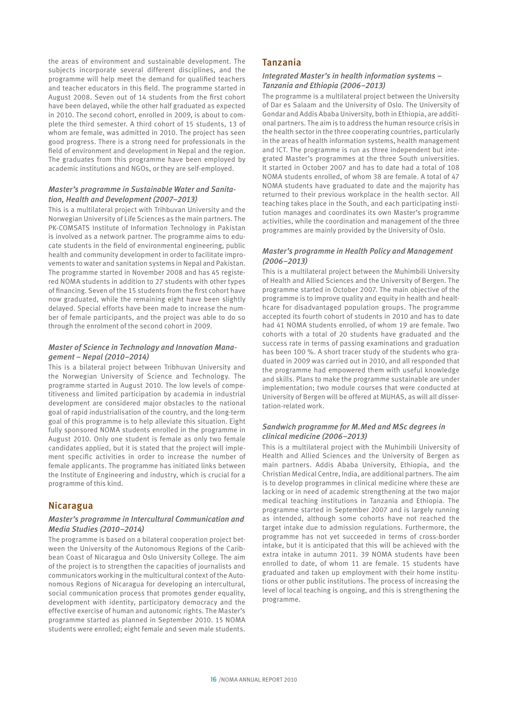the areas of environment and sustainable development. The subjects incorporate several different disciplines, and the programme will help meet the demand for qualified teachers and teacher educators in this field. The programme started in August 2008. Seven out of 14 students from the first cohort have been delayed, while the other half graduated as expected in 2010. The second cohort, enrolled in 2009, is about to complete the third semester. A third cohort of 15 students, 13 of whom are female, was admitted in 2010. The project has seen good progress. There is a strong need for professionals in the field of environment and development in Nepal and the region. The graduates from this programme have been employed by academic institutions and NGOs, or they are self-employed.

#### *Master's programme in Sustainable Water and Sanitation, Health and Development (2007–2013)*

This is a multilateral project with Trihbuvan University and the Norwegian University of Life Sciences as the main partners. The PK-COMSATS Institute of Information Technology in Pakistan is involved as a network partner. The programme aims to educate students in the field of environmental engineering, public health and community development in order to facilitate improvements to water and sanitation systems in Nepal and Pakistan. The programme started in November 2008 and has 45 registered NOMA students in addition to 27 students with other types of financing. Seven of the 15 students from the first cohort have now graduated, while the remaining eight have been slightly delayed. Special efforts have been made to increase the number of female participants, and the project was able to do so through the enrolment of the second cohort in 2009.

#### *Master of Science in Technology and Innovation Management – Nepal (2010–2014)*

This is a bilateral project between Tribhuvan University and the Norwegian University of Science and Technology. The programme started in August 2010. The low levels of competitiveness and limited participation by academia in industrial development are considered major obstacles to the national goal of rapid industrialisation of the country, and the long-term goal of this programme is to help alleviate this situation. Eight fully sponsored NOMA students enrolled in the programme in August 2010. Only one student is female as only two female candidates applied, but it is stated that the project will implement specific activities in order to increase the number of female applicants. The programme has initiated links between the Institute of Engineering and industry, which is crucial for a programme of this kind.

## Nicaragua

#### *Master's programme in Intercultural Communication and Media Studies (2010–2014)*

The programme is based on a bilateral cooperation project between the University of the Autonomous Regions of the Caribbean Coast of Nicaragua and Oslo University College. The aim of the project is to strengthen the capacities of journalists and communicators working in the multicultural context of the Autonomous Regions of Nicaragua for developing an intercultural, social communication process that promotes gender equality, development with identity, participatory democracy and the effective exercise of human and autonomic rights. The Master's programme started as planned in September 2010. 15 NOMA students were enrolled; eight female and seven male students.

## Tanzania

#### *Integrated Master's in health information systems – Tanzania and Ethiopia (2006–2013)*

The programme is a multilateral project between the University of Dar es Salaam and the University of Oslo. The University of Gondar and Addis Ababa University, both in Ethiopia, are additional partners. The aim is to address the human resource crisis in the health sector in the three cooperating countries, particularly in the areas of health information systems, health management and ICT. The programme is run as three independent but integrated Master's programmes at the three South universities. It started in October 2007 and has to date had a total of 108 NOMA students enrolled, of whom 38 are female. A total of 47 NOMA students have graduated to date and the majority has returned to their previous workplace in the health sector. All teaching takes place in the South, and each participating institution manages and coordinates its own Master's programme activities, while the coordination and management of the three programmes are mainly provided by the University of Oslo.

#### *Master's programme in Health Policy and Management (2006–2013)*

This is a multilateral project between the Muhimbili University of Health and Allied Sciences and the University of Bergen. The programme started in October 2007. The main objective of the programme is to improve quality and equity in health and healthcare for disadvantaged population groups. The programme accepted its fourth cohort of students in 2010 and has to date had 41 NOMA students enrolled, of whom 19 are female. Two cohorts with a total of 20 students have graduated and the success rate in terms of passing examinations and graduation has been 100 %. A short tracer study of the students who graduated in 2009 was carried out in 2010, and all responded that the programme had empowered them with useful knowledge and skills. Plans to make the programme sustainable are under implementation; two module courses that were conducted at University of Bergen will be offered at MUHAS, as will all dissertation-related work.

### *Sandwich programme for M.Med and MSc degrees in clinical medicine (2006–2013)*

This is a multilateral project with the Muhimbili University of Health and Allied Sciences and the University of Bergen as main partners. Addis Ababa University, Ethiopia, and the Christian Medical Centre, India, are additional partners. The aim is to develop programmes in clinical medicine where these are lacking or in need of academic strengthening at the two major medical teaching institutions in Tanzania and Ethiopia. The programme started in September 2007 and is largely running as intended, although some cohorts have not reached the target intake due to admission regulations. Furthermore, the programme has not yet succeeded in terms of cross-border intake, but it is anticipated that this will be achieved with the extra intake in autumn 2011. 39 NOMA students have been enrolled to date, of whom 11 are female. 15 students have graduated and taken up employment with their home institutions or other public institutions. The process of increasing the level of local teaching is ongoing, and this is strengthening the programme.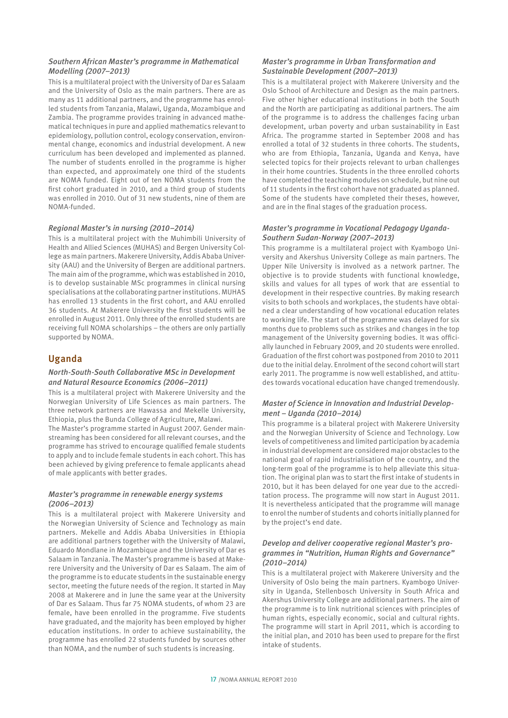#### *Southern African Master's programme in Mathematical Modelling (2007–2013)*

This is a multilateral project with the University of Dar es Salaam and the University of Oslo as the main partners. There are as many as 11 additional partners, and the programme has enrolled students from Tanzania, Malawi, Uganda, Mozambique and Zambia. The programme provides training in advanced mathematical techniques in pure and applied mathematics relevant to epidemiology, pollution control, ecology conservation, environmental change, economics and industrial development. A new curriculum has been developed and implemented as planned. The number of students enrolled in the programme is higher than expected, and approximately one third of the students are NOMA funded. Eight out of ten NOMA students from the first cohort graduated in 2010, and a third group of students was enrolled in 2010. Out of 31 new students, nine of them are NOMA-funded.

#### *Regional Master's in nursing (2010–2014)*

This is a multilateral project with the Muhimbili University of Health and Allied Sciences (MUHAS) and Bergen University College as main partners. Makerere University, Addis Ababa University (AAU) and the University of Bergen are additional partners. The main aim of the programme, which was established in 2010, is to develop sustainable MSc programmes in clinical nursing specialisations at the collaborating partner institutions. MUHAS has enrolled 13 students in the first cohort, and AAU enrolled 36 students. At Makerere University the first students will be enrolled in August 2011. Only three of the enrolled students are receiving full NOMA scholarships – the others are only partially supported by NOMA.

## Uganda

#### *North-South-South Collaborative MSc in Development and Natural Resource Economics (2006–2011)*

This is a multilateral project with Makerere University and the Norwegian University of Life Sciences as main partners. The three network partners are Hawassa and Mekelle University, Ethiopia, plus the Bunda College of Agriculture, Malawi.

The Master's programme started in August 2007. Gender mainstreaming has been considered for all relevant courses, and the programme has strived to encourage qualified female students to apply and to include female students in each cohort. This has been achieved by giving preference to female applicants ahead of male applicants with better grades.

### *Master's programme in renewable energy systems (2006–2013)*

This is a multilateral project with Makerere University and the Norwegian University of Science and Technology as main partners. Mekelle and Addis Ababa Universities in Ethiopia are additional partners together with the University of Malawi, Eduardo Mondlane in Mozambique and the University of Dar es Salaam in Tanzania. The Master's programme is based at Makerere University and the University of Dar es Salaam. The aim of the programme is to educate students in the sustainable energy sector, meeting the future needs of the region. It started in May 2008 at Makerere and in June the same year at the University of Dar es Salaam. Thus far 75 NOMA students, of whom 23 are female, have been enrolled in the programme. Five students have graduated, and the majority has been employed by higher education institutions. In order to achieve sustainability, the programme has enrolled 22 students funded by sources other than NOMA, and the number of such students is increasing.

### *Master's programme in Urban Transformation and Sustainable Development (2007–2013)*

This is a multilateral project with Makerere University and the Oslo School of Architecture and Design as the main partners. Five other higher educational institutions in both the South and the North are participating as additional partners. The aim of the programme is to address the challenges facing urban development, urban poverty and urban sustainability in East Africa. The programme started in September 2008 and has enrolled a total of 32 students in three cohorts. The students, who are from Ethiopia, Tanzania, Uganda and Kenya, have selected topics for their projects relevant to urban challenges in their home countries. Students in the three enrolled cohorts have completed the teaching modules on schedule, but nine out of 11 students in the first cohort have not graduated as planned. Some of the students have completed their theses, however, and are in the final stages of the graduation process.

#### *Master's programme in Vocational Pedagogy Uganda-Southern Sudan-Norway (2007–2013)*

This programme is a multilateral project with Kyambogo University and Akershus University College as main partners. The Upper Nile University is involved as a network partner. The objective is to provide students with functional knowledge, skills and values for all types of work that are essential to development in their respective countries. By making research visits to both schools and workplaces, the students have obtained a clear understanding of how vocational education relates to working life. The start of the programme was delayed for six months due to problems such as strikes and changes in the top management of the University governing bodies. It was officially launched in February 2009, and 20 students were enrolled. Graduation of the first cohort was postponed from 2010 to 2011 due to the initial delay. Enrolment of the second cohort will start early 2011. The programme is now well established, and attitudes towards vocational education have changed tremendously.

#### *Master of Science in Innovation and Industrial Development – Uganda (2010–2014)*

This programme is a bilateral project with Makerere University and the Norwegian University of Science and Technology. Low levels of competitiveness and limited participation by academia in industrial development are considered major obstacles to the national goal of rapid industrialisation of the country, and the long-term goal of the programme is to help alleviate this situation. The original plan was to start the first intake of students in 2010, but it has been delayed for one year due to the accreditation process. The programme will now start in August 2011. It is nevertheless anticipated that the programme will manage to enrol the number of students and cohorts initially planned for by the project's end date.

#### *Develop and deliver cooperative regional Master's programmes in "Nutrition, Human Rights and Governance" (2010–2014)*

This is a multilateral project with Makerere University and the University of Oslo being the main partners. Kyambogo University in Uganda, Stellenbosch University in South Africa and Akershus University College are additional partners. The aim of the programme is to link nutritional sciences with principles of human rights, especially economic, social and cultural rights. The programme will start in April 2011, which is according to the initial plan, and 2010 has been used to prepare for the first intake of students.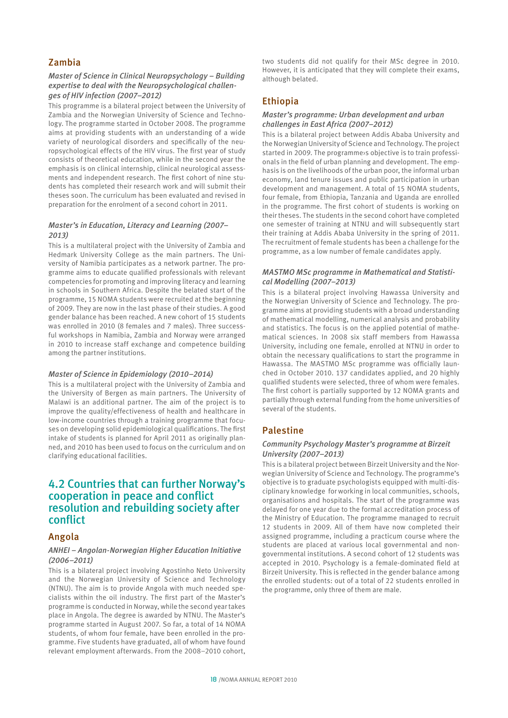## Zambia

#### *Master of Science in Clinical Neuropsychology – Building expertise to deal with the Neuropsychological challenges of HIV infection (2007–2012)*

This programme is a bilateral project between the University of Zambia and the Norwegian University of Science and Technology. The programme started in October 2008. The programme aims at providing students with an understanding of a wide variety of neurological disorders and specifically of the neuropsychological effects of the HIV virus. The first year of study consists of theoretical education, while in the second year the emphasis is on clinical internship, clinical neurological assessments and independent research. The first cohort of nine students has completed their research work and will submit their theses soon. The curriculum has been evaluated and revised in preparation for the enrolment of a second cohort in 2011.

#### *Master's in Education, Literacy and Learning (2007– 2013)*

This is a multilateral project with the University of Zambia and Hedmark University College as the main partners. The University of Namibia participates as a network partner. The programme aims to educate qualified professionals with relevant competencies for promoting and improving literacy and learning in schools in Southern Africa. Despite the belated start of the programme, 15 NOMA students were recruited at the beginning of 2009. They are now in the last phase of their studies. A good gender balance has been reached. A new cohort of 15 students was enrolled in 2010 (8 females and 7 males). Three successful workshops in Namibia, Zambia and Norway were arranged in 2010 to increase staff exchange and competence building among the partner institutions.

#### *Master of Science in Epidemiology (2010–2014)*

This is a multilateral project with the University of Zambia and the University of Bergen as main partners. The University of Malawi is an additional partner. The aim of the project is to improve the quality/effectiveness of health and healthcare in low-income countries through a training programme that focuses on developing solid epidemiological qualifications. The first intake of students is planned for April 2011 as originally planned, and 2010 has been used to focus on the curriculum and on clarifying educational facilities.

## 4.2 Countries that can further Norway's cooperation in peace and conflict resolution and rebuilding society after conflict

## Angola

#### *ANHEI – Angolan-Norwegian Higher Education Initiative (2006–2011)*

This is a bilateral project involving Agostinho Neto University and the Norwegian University of Science and Technology (NTNU). The aim is to provide Angola with much needed specialists within the oil industry. The first part of the Master's programme is conducted in Norway, while the second year takes place in Angola. The degree is awarded by NTNU. The Master's programme started in August 2007. So far, a total of 14 NOMA students, of whom four female, have been enrolled in the programme. Five students have graduated, all of whom have found relevant employment afterwards. From the 2008–2010 cohort,

two students did not qualify for their MSc degree in 2010. However, it is anticipated that they will complete their exams, although belated.

## Ethiopia

#### *Master's programme: Urban development and urban challenges in East Africa (2007–2012)*

This is a bilateral project between Addis Ababa University and the Norwegian University of Science and Technology. The project started in 2009. The programme›s objective is to train professionals in the field of urban planning and development. The emphasis is on the livelihoods of the urban poor, the informal urban economy, land tenure issues and public participation in urban development and management. A total of 15 NOMA students, four female, from Ethiopia, Tanzania and Uganda are enrolled in the programme. The first cohort of students is working on their theses. The students in the second cohort have completed one semester of training at NTNU and will subsequently start their training at Addis Ababa University in the spring of 2011. The recruitment of female students has been a challenge for the programme, as a low number of female candidates apply.

### *MASTMO MSc programme in Mathematical and Statistical Modelling (2007–2013)*

This is a bilateral project involving Hawassa University and the Norwegian University of Science and Technology. The programme aims at providing students with a broad understanding of mathematical modelling, numerical analysis and probability and statistics. The focus is on the applied potential of mathematical sciences. In 2008 six staff members from Hawassa University, including one female, enrolled at NTNU in order to obtain the necessary qualifications to start the programme in Hawassa. The MASTMO MSc programme was officially launched in October 2010. 137 candidates applied, and 20 highly qualified students were selected, three of whom were females. The first cohort is partially supported by 12 NOMA grants and partially through external funding from the home universities of several of the students.

## Palestine

#### *Community Psychology Master's programme at Birzeit University (2007–2013)*

This is a bilateral project between Birzeit University and the Norwegian University of Science and Technology. The programme's objective is to graduate psychologists equipped with multi-disciplinary knowledge for working in local communities, schools, organisations and hospitals. The start of the programme was delayed for one year due to the formal accreditation process of the Ministry of Education. The programme managed to recruit 12 students in 2009. All of them have now completed their assigned programme, including a practicum course where the students are placed at various local governmental and nongovernmental institutions. A second cohort of 12 students was accepted in 2010. Psychology is a female-dominated field at Birzeit University. This is reflected in the gender balance among the enrolled students: out of a total of 22 students enrolled in the programme, only three of them are male.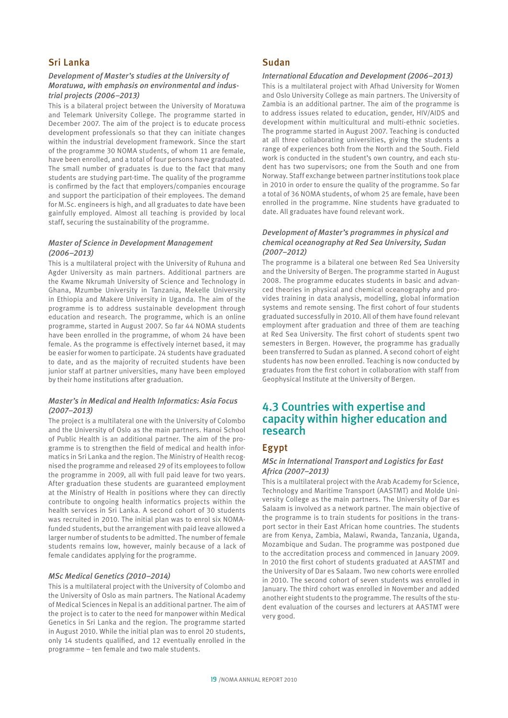## Sri Lanka

#### *Development of Master's studies at the University of Moratuwa, with emphasis on environmental and industrial projects (2006–2013)*

This is a bilateral project between the University of Moratuwa and Telemark University College. The programme started in December 2007. The aim of the project is to educate process development professionals so that they can initiate changes within the industrial development framework. Since the start of the programme 30 NOMA students, of whom 11 are female, have been enrolled, and a total of four persons have graduated. The small number of graduates is due to the fact that many students are studying part-time. The quality of the programme is confirmed by the fact that employers/companies encourage and support the participation of their employees. The demand for M.Sc. engineers is high, and all graduates to date have been gainfully employed. Almost all teaching is provided by local staff, securing the sustainability of the programme.

#### *Master of Science in Development Management (2006–2013)*

This is a multilateral project with the University of Ruhuna and Agder University as main partners. Additional partners are the Kwame Nkrumah University of Science and Technology in Ghana, Mzumbe University in Tanzania, Mekelle University in Ethiopia and Makere University in Uganda. The aim of the programme is to address sustainable development through education and research. The programme, which is an online programme, started in August 2007. So far 44 NOMA students have been enrolled in the programme, of whom 24 have been female. As the programme is effectively internet based, it may be easier for women to participate. 24 students have graduated to date, and as the majority of recruited students have been junior staff at partner universities, many have been employed by their home institutions after graduation.

#### *Master's in Medical and Health Informatics: Asia Focus (2007–2013)*

The project is a multilateral one with the University of Colombo and the University of Oslo as the main partners. Hanoi School of Public Health is an additional partner. The aim of the programme is to strengthen the field of medical and health informatics in Sri Lanka and the region. The Ministry of Health recognised the programme and released 29 of its employees to follow the programme in 2009, all with full paid leave for two years. After graduation these students are guaranteed employment at the Ministry of Health in positions where they can directly contribute to ongoing health informatics projects within the health services in Sri Lanka. A second cohort of 30 students was recruited in 2010. The initial plan was to enrol six NOMAfunded students, but the arrangement with paid leave allowed a larger number of students to be admitted. The number of female students remains low, however, mainly because of a lack of female candidates applying for the programme.

#### *MSc Medical Genetics (2010–2014)*

This is a multilateral project with the University of Colombo and the University of Oslo as main partners. The National Academy of Medical Sciences in Nepal is an additional partner. The aim of the project is to cater to the need for manpower within Medical Genetics in Sri Lanka and the region. The programme started in August 2010. While the initial plan was to enrol 20 students, only 14 students qualified, and 12 eventually enrolled in the programme – ten female and two male students.

### Sudan

#### *International Education and Development (2006–2013)*

This is a multilateral project with Afhad University for Women and Oslo University College as main partners. The University of Zambia is an additional partner. The aim of the programme is to address issues related to education, gender, HIV/AIDS and development within multicultural and multi-ethnic societies. The programme started in August 2007. Teaching is conducted at all three collaborating universities, giving the students a range of experiences both from the North and the South. Field work is conducted in the student's own country, and each student has two supervisors; one from the South and one from Norway. Staff exchange between partner institutions took place in 2010 in order to ensure the quality of the programme. So far a total of 36 NOMA students, of whom 25 are female, have been enrolled in the programme. Nine students have graduated to date. All graduates have found relevant work.

#### *Development of Master's programmes in physical and chemical oceanography at Red Sea University, Sudan (2007–2012)*

The programme is a bilateral one between Red Sea University and the University of Bergen. The programme started in August 2008. The programme educates students in basic and advanced theories in physical and chemical oceanography and provides training in data analysis, modelling, global information systems and remote sensing. The first cohort of four students graduated successfully in 2010. All of them have found relevant employment after graduation and three of them are teaching at Red Sea University. The first cohort of students spent two semesters in Bergen. However, the programme has gradually been transferred to Sudan as planned. A second cohort of eight students has now been enrolled. Teaching is now conducted by graduates from the first cohort in collaboration with staff from Geophysical Institute at the University of Bergen.

# 4.3 Countries with expertise and capacity within higher education and research

## Egypt

#### *MSc in International Transport and Logistics for East Africa (2007–2013)*

This is a multilateral project with the Arab Academy for Science, Technology and Maritime Transport (AASTMT) and Molde University College as the main partners. The University of Dar es Salaam is involved as a network partner. The main objective of the programme is to train students for positions in the transport sector in their East African home countries. The students are from Kenya, Zambia, Malawi, Rwanda, Tanzania, Uganda, Mozambique and Sudan. The programme was postponed due to the accreditation process and commenced in January 2009. In 2010 the first cohort of students graduated at AASTMT and the University of Dar es Salaam. Two new cohorts were enrolled in 2010. The second cohort of seven students was enrolled in January. The third cohort was enrolled in November and added another eight students to the programme. The results of the student evaluation of the courses and lecturers at AASTMT were very good.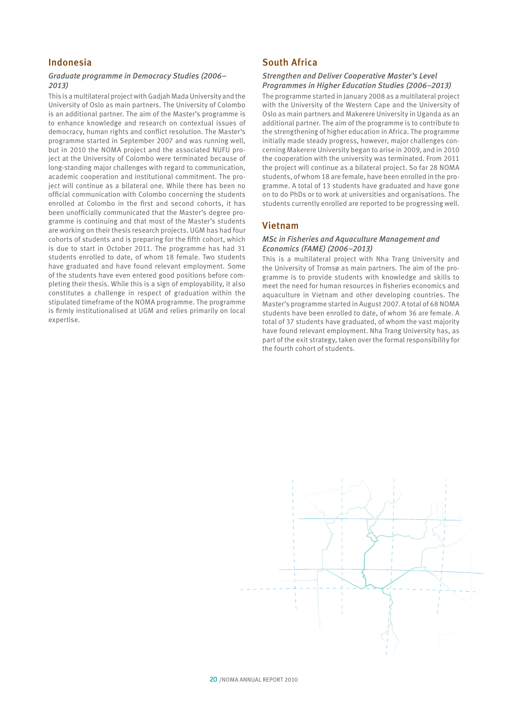## Indonesia

#### *Graduate programme in Democracy Studies (2006– 2013)*

This is a multilateral project with Gadjah Mada University and the University of Oslo as main partners. The University of Colombo is an additional partner. The aim of the Master's programme is to enhance knowledge and research on contextual issues of democracy, human rights and conflict resolution. The Master's programme started in September 2007 and was running well, but in 2010 the NOMA project and the associated NUFU project at the University of Colombo were terminated because of long-standing major challenges with regard to communication, academic cooperation and institutional commitment. The project will continue as a bilateral one. While there has been no official communication with Colombo concerning the students enrolled at Colombo in the first and second cohorts, it has been unofficially communicated that the Master's degree programme is continuing and that most of the Master's students are working on their thesis research projects. UGM has had four cohorts of students and is preparing for the fifth cohort, which is due to start in October 2011. The programme has had 31 students enrolled to date, of whom 18 female. Two students have graduated and have found relevant employment. Some of the students have even entered good positions before completing their thesis. While this is a sign of employability, it also constitutes a challenge in respect of graduation within the stipulated timeframe of the NOMA programme. The programme is firmly institutionalised at UGM and relies primarily on local expertise.

## South Africa

#### *Strengthen and Deliver Cooperative Master's Level Programmes in Higher Education Studies (2006–2013)*

The programme started in January 2008 as a multilateral project with the University of the Western Cape and the University of Oslo as main partners and Makerere University in Uganda as an additional partner. The aim of the programme is to contribute to the strengthening of higher education in Africa. The programme initially made steady progress, however, major challenges concerning Makerere University began to arise in 2009, and in 2010 the cooperation with the university was terminated. From 2011 the project will continue as a bilateral project. So far 28 NOMA students, of whom 18 are female, have been enrolled in the programme. A total of 13 students have graduated and have gone on to do PhDs or to work at universities and organisations. The students currently enrolled are reported to be progressing well.

### Vietnam

#### *MSc in Fisheries and Aquaculture Management and Economics (FAME) (2006–2013)*

This is a multilateral project with Nha Trang University and the University of Tromsø as main partners. The aim of the programme is to provide students with knowledge and skills to meet the need for human resources in fisheries economics and aquaculture in Vietnam and other developing countries. The Master's programme started in August 2007. A total of 68 NOMA students have been enrolled to date, of whom 36 are female. A total of 37 students have graduated, of whom the vast majority have found relevant employment. Nha Trang University has, as part of the exit strategy, taken over the formal responsibility for the fourth cohort of students.

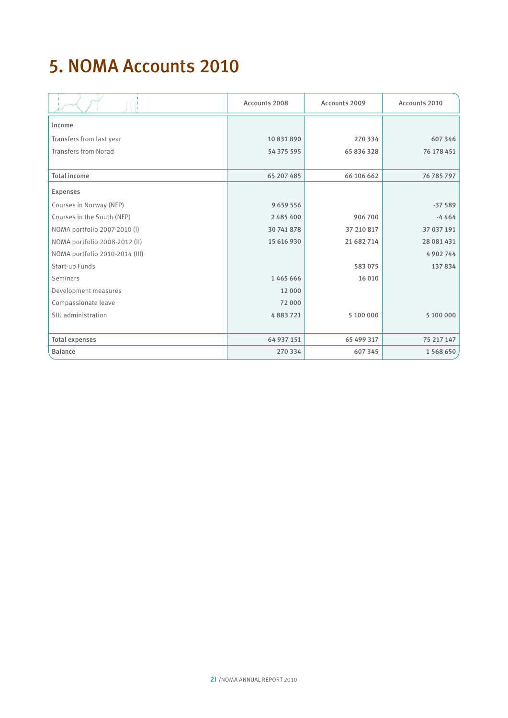# 5. NOMA Accounts 2010

|                                | Accounts 2008 | Accounts 2009 | Accounts 2010 |
|--------------------------------|---------------|---------------|---------------|
| Income                         |               |               |               |
| Transfers from last year       | 10 831 890    | 270 334       | 607346        |
| Transfers from Norad           | 54 375 595    | 65 836 328    | 76 178 451    |
|                                |               |               |               |
| <b>Total income</b>            | 65 207 485    | 66 106 662    | 76 785 797    |
| <b>Expenses</b>                |               |               |               |
| Courses in Norway (NFP)        | 9659556       |               | $-37589$      |
| Courses in the South (NFP)     | 2485400       | 906 700       | $-4464$       |
| NOMA portfolio 2007-2010 (I)   | 30 741 878    | 37 210 817    | 37 037 191    |
| NOMA portfolio 2008-2012 (II)  | 15 616 930    | 21 682 714    | 28 081 431    |
| NOMA portfolio 2010-2014 (III) |               |               | 4 9 0 2 7 4 4 |
| Start-up Funds                 |               | 583075        | 137834        |
| Seminars                       | 1465666       | 16 010        |               |
| Development measures           | 12 000        |               |               |
| Compassionate leave            | 72000         |               |               |
| SIU administration             | 4883721       | 5 100 000     | 5 100 000     |
|                                |               |               |               |
| <b>Total expenses</b>          | 64 937 151    | 65 499 317    | 75 217 147    |
| <b>Balance</b>                 | 270 334       | 607 345       | 1568650       |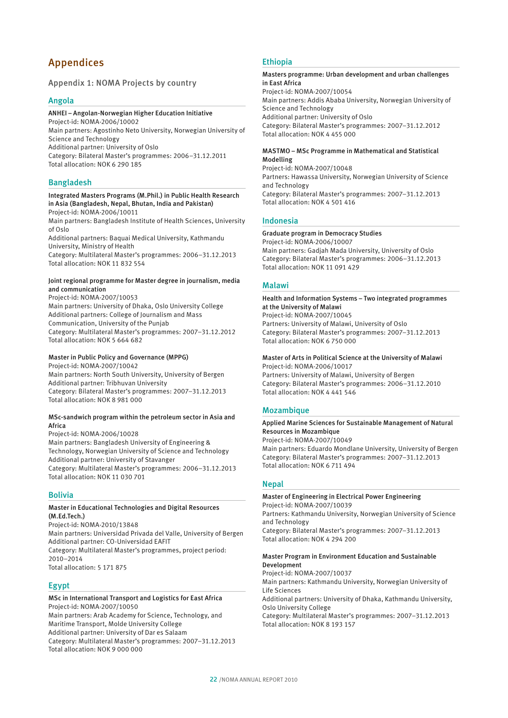# Appendices

### Appendix 1: NOMA Projects by country

#### Angola

### ANHEI – Angolan-Norwegian Higher Education Initiative

Project-id: NOMA-2006/10002 Main partners: Agostinho Neto University, Norwegian University of Science and Technology Additional partner: University of Oslo Category: Bilateral Master's programmes: 2006–31.12.2011 Total allocation: NOK 6 290 185

#### Bangladesh

#### Integrated Masters Programs (M.Phil.) in Public Health Research in Asia (Bangladesh, Nepal, Bhutan, India and Pakistan) Project-id: NOMA-2006/10011

Main partners: Bangladesh Institute of Health Sciences, University of Oslo

Additional partners: Baquai Medical University, Kathmandu University, Ministry of Health

Category: Multilateral Master's programmes: 2006–31.12.2013 Total allocation: NOK 11 832 554

#### Joint regional programme for Master degree in journalism, media and communication

Project-id: NOMA-2007/10053 Main partners: University of Dhaka, Oslo University College Additional partners: College of Journalism and Mass Communication, University of the Punjab Category: Multilateral Master's programmes: 2007–31.12.2012 Total allocation: NOK 5 664 682

#### Master in Public Policy and Governance (MPPG)

Project-id: NOMA-2007/10042 Main partners: North South University, University of Bergen Additional partner: Tribhuvan University Category: Bilateral Master's programmes: 2007–31.12.2013 Total allocation: NOK 8 981 000

#### MSc-sandwich program within the petroleum sector in Asia and Africa

Project-id: NOMA-2006/10028 Main partners: Bangladesh University of Engineering & Technology, Norwegian University of Science and Technology Additional partner: University of Stavanger Category: Multilateral Master's programmes: 2006–31.12.2013 Total allocation: NOK 11 030 701

### Bolivia

#### Master in Educational Technologies and Digital Resources (M.Ed.Tech.)

Project-id: NOMA-2010/13848 Main partners: Universidad Privada del Valle, University of Bergen Additional partner: CO-Universidad EAFIT Category: Multilateral Master's programmes, project period: 2010–2014 Total allocation: 5 171 875

## Egypt

### MSc in International Transport and Logistics for East Africa Project-id: NOMA-2007/10050

Main partners: Arab Academy for Science, Technology, and Maritime Transport, Molde University College Additional partner: University of Dar es Salaam Category: Multilateral Master's programmes: 2007–31.12.2013 Total allocation: NOK 9 000 000

#### Ethiopia

## Masters programme: Urban development and urban challenges in East Africa

Project-id: NOMA-2007/10054 Main partners: Addis Ababa University, Norwegian University of Science and Technology Additional partner: University of Oslo Category: Bilateral Master's programmes: 2007–31.12.2012 Total allocation: NOK 4 455 000

#### MASTMO – MSc Programme in Mathematical and Statistical Modelling

Project-id: NOMA-2007/10048 Partners: Hawassa University, Norwegian University of Science and Technology Category: Bilateral Master's programmes: 2007–31.12.2013 Total allocation: NOK 4 501 416

#### Indonesia

#### Graduate program in Democracy Studies

Project-id: NOMA-2006/10007 Main partners: Gadjah Mada University, University of Oslo Category: Bilateral Master's programmes: 2006–31.12.2013 Total allocation: NOK 11 091 429

#### Malawi

#### Health and Information Systems – Two integrated programmes at the University of Malawi Project-id: NOMA-2007/10045

Partners: University of Malawi, University of Oslo Category: Bilateral Master's programmes: 2007–31.12.2013 Total allocation: NOK 6 750 000

#### Master of Arts in Political Science at the University of Malawi

Project-id: NOMA-2006/10017 Partners: University of Malawi, University of Bergen Category: Bilateral Master's programmes: 2006–31.12.2010 Total allocation: NOK 4 441 546

#### Mozambique

#### Applied Marine Sciences for Sustainable Management of Natural Resources in Mozambique

Project-id: NOMA-2007/10049

Main partners: Eduardo Mondlane University, University of Bergen Category: Bilateral Master's programmes: 2007–31.12.2013 Total allocation: NOK 6 711 494

### **Nepal**

#### Master of Engineering in Electrical Power Engineering Project-id: NOMA-2007/10039

Partners: Kathmandu University, Norwegian University of Science and Technology

Category: Bilateral Master's programmes: 2007–31.12.2013 Total allocation: NOK 4 294 200

#### Master Program in Environment Education and Sustainable Development

Project-id: NOMA-2007/10037

Main partners: Kathmandu University, Norwegian University of Life Sciences

Additional partners: University of Dhaka, Kathmandu University, Oslo University College

Category: Multilateral Master's programmes: 2007–31.12.2013 Total allocation: NOK 8 193 157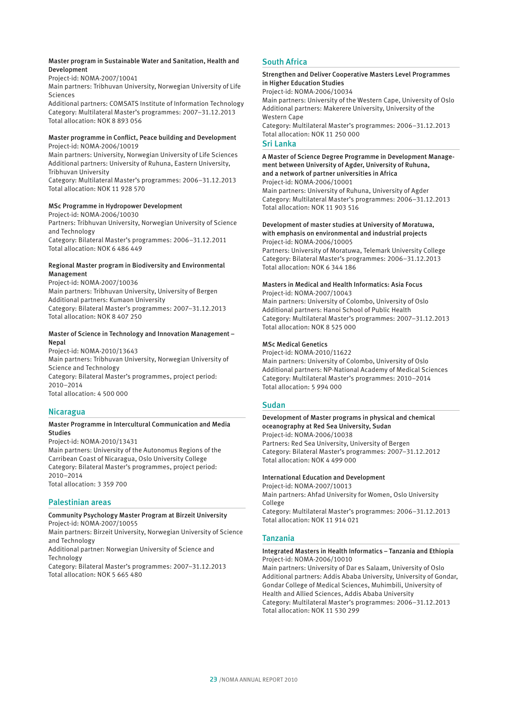#### Master program in Sustainable Water and Sanitation, Health and Development

Project-id: NOMA-2007/10041

Main partners: Tribhuvan University, Norwegian University of Life Sciences

Additional partners: COMSATS Institute of Information Technology Category: Multilateral Master's programmes: 2007–31.12.2013 Total allocation: NOK 8 893 056

#### Master programme in Conflict, Peace building and Development Project-id: NOMA-2006/10019

Main partners: University, Norwegian University of Life Sciences Additional partners: University of Ruhuna, Eastern University, Tribhuvan University

Category: Multilateral Master's programmes: 2006–31.12.2013 Total allocation: NOK 11 928 570

#### MSc Programme in Hydropower Development

Project-id: NOMA-2006/10030 Partners: Tribhuvan University, Norwegian University of Science and Technology Category: Bilateral Master's programmes: 2006–31.12.2011 Total allocation: NOK 6 486 449

#### Regional Master program in Biodiversity and Environmental Management

Project-id: NOMA-2007/10036 Main partners: Tribhuvan University, University of Bergen Additional partners: Kumaon University Category: Bilateral Master's programmes: 2007–31.12.2013 Total allocation: NOK 8 407 250

#### Master of Science in Technology and Innovation Management – Nepal

Project-id: NOMA-2010/13643 Main partners: Tribhuvan University, Norwegian University of Science and Technology Category: Bilateral Master's programmes, project period: 2010–2014 Total allocation: 4 500 000

### Nicaragua

#### Master Programme in Intercultural Communication and Media Studies

Project-id: NOMA-2010/13431

Main partners: University of the Autonomus Regions of the Carribean Coast of Nicaragua, Oslo University College Category: Bilateral Master's programmes, project period: 2010–2014 Total allocation: 3 359 700

#### Palestinian areas

#### Community Psychology Master Program at Birzeit University Project-id: NOMA-2007/10055

Main partners: Birzeit University, Norwegian University of Science and Technology

Additional partner: Norwegian University of Science and Technology

Category: Bilateral Master's programmes: 2007–31.12.2013 Total allocation: NOK 5 665 480

## South Africa

#### Strengthen and Deliver Cooperative Masters Level Programmes in Higher Education Studies

Project-id: NOMA-2006/10034

Main partners: University of the Western Cape, University of Oslo Additional partners: Makerere University, University of the Western Cape

Category: Multilateral Master's programmes: 2006–31.12.2013 Total allocation: NOK 11 250 000

#### Sri Lanka

#### A Master of Science Degree Programme in Development Management between University of Agder, University of Ruhuna, and a network of partner universities in Africa

Project-id: NOMA-2006/10001 Main partners: University of Ruhuna, University of Agder Category: Multilateral Master's programmes: 2006–31.12.2013 Total allocation: NOK 11 903 516

#### Development of master studies at University of Moratuwa, with emphasis on environmental and industrial projects

Project-id: NOMA-2006/10005 Partners: University of Moratuwa, Telemark University College Category: Bilateral Master's programmes: 2006–31.12.2013 Total allocation: NOK 6 344 186

## Masters in Medical and Health Informatics: Asia Focus

Project-id: NOMA-2007/10043 Main partners: University of Colombo, University of Oslo Additional partners: Hanoi School of Public Health Category: Multilateral Master's programmes: 2007–31.12.2013 Total allocation: NOK 8 525 000

#### MSc Medical Genetics

Project-id: NOMA-2010/11622

Main partners: University of Colombo, University of Oslo Additional partners: NP-National Academy of Medical Sciences Category: Multilateral Master's programmes: 2010–2014 Total allocation: 5 994 000

#### Sudan

### Development of Master programs in physical and chemical oceanography at Red Sea University, Sudan Project-id: NOMA-2006/10038

Partners: Red Sea University, University of Bergen Category: Bilateral Master's programmes: 2007–31.12.2012 Total allocation: NOK 4 499 000

#### International Education and Development

Project-id: NOMA-2007/10013 Main partners: Ahfad University for Women, Oslo University College Category: Multilateral Master's programmes: 2006–31.12.2013 Total allocation: NOK 11 914 021

#### Tanzania

#### Integrated Masters in Health Informatics – Tanzania and Ethiopia Project-id: NOMA-2006/10010

Main partners: University of Dar es Salaam, University of Oslo Additional partners: Addis Ababa University, University of Gondar, Gondar College of Medical Sciences, Muhimbili, University of Health and Allied Sciences, Addis Ababa University Category: Multilateral Master's programmes: 2006–31.12.2013 Total allocation: NOK 11 530 299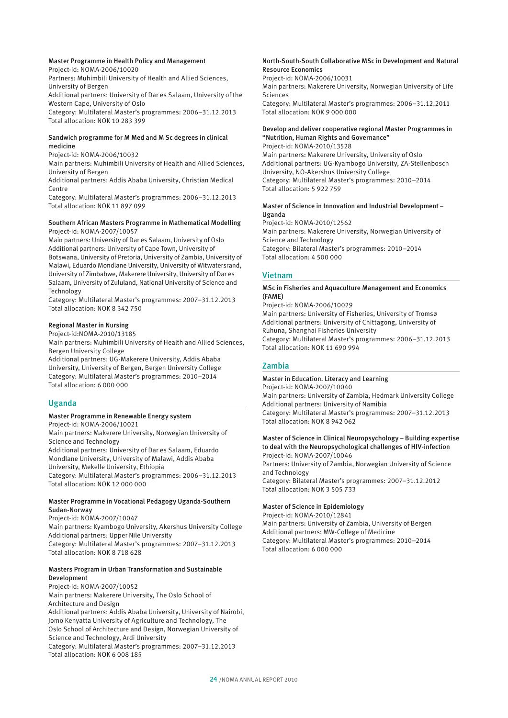#### Master Programme in Health Policy and Management Project-id: NOMA-2006/10020

Partners: Muhimbili University of Health and Allied Sciences, University of Bergen Additional partners: University of Dar es Salaam, University of the Western Cape, University of Oslo Category: Multilateral Master's programmes: 2006–31.12.2013 Total allocation: NOK 10 283 399

#### Sandwich programme for M Med and M Sc degrees in clinical medicine

Project-id: NOMA-2006/10032

Main partners: Muhimbili University of Health and Allied Sciences, University of Bergen

Additional partners: Addis Ababa University, Christian Medical Centre

Category: Multilateral Master's programmes: 2006–31.12.2013 Total allocation: NOK 11 897 099

#### Southern African Masters Programme in Mathematical Modelling Project-id: NOMA-2007/10057

Main partners: University of Dar es Salaam, University of Oslo Additional partners: University of Cape Town, University of Botswana, University of Pretoria, University of Zambia, University of Malawi, Eduardo Mondlane University, University of Witwatersrand, University of Zimbabwe, Makerere University, University of Dar es Salaam, University of Zululand, National University of Science and Technology

Category: Multilateral Master's programmes: 2007–31.12.2013 Total allocation: NOK 8 342 750

#### Regional Master in Nursing

Project-id:NOMA-2010/13185

Main partners: Muhimbili University of Health and Allied Sciences, Bergen University College

Additional partners: UG-Makerere University, Addis Ababa University, University of Bergen, Bergen University College Category: Multilateral Master's programmes: 2010–2014 Total allocation: 6 000 000

## Uganda

Master Programme in Renewable Energy system

Project-id: NOMA-2006/10021

Main partners: Makerere University, Norwegian University of Science and Technology

Additional partners: University of Dar es Salaam, Eduardo Mondlane University, University of Malawi, Addis Ababa University, Mekelle University, Ethiopia

Category: Multilateral Master's programmes: 2006–31.12.2013 Total allocation: NOK 12 000 000

#### Master Programme in Vocational Pedagogy Uganda-Southern Sudan-Norway

Project-id: NOMA-2007/10047

Main partners: Kyambogo University, Akershus University College Additional partners: Upper Nile University Category: Multilateral Master's programmes: 2007–31.12.2013 Total allocation: NOK 8 718 628

#### Masters Program in Urban Transformation and Sustainable Development

Project-id: NOMA-2007/10052 Main partners: Makerere University, The Oslo School of Architecture and Design Additional partners: Addis Ababa University, University of Nairobi, Jomo Kenyatta University of Agriculture and Technology, The Oslo School of Architecture and Design, Norwegian University of Science and Technology, Ardi University Category: Multilateral Master's programmes: 2007–31.12.2013 Total allocation: NOK 6 008 185

#### North-South-South Collaborative MSc in Development and Natural Resource Economics

Project-id: NOMA-2006/10031 Main partners: Makerere University, Norwegian University of Life Sciences Category: Multilateral Master's programmes: 2006–31.12.2011 Total allocation: NOK 9 000 000

#### Develop and deliver cooperative regional Master Programmes in "Nutrition, Human Rights and Governance"

Project-id: NOMA-2010/13528 Main partners: Makerere University, University of Oslo Additional partners: UG-Kyambogo University, ZA-Stellenbosch University, NO-Akershus University College Category: Multilateral Master's programmes: 2010–2014 Total allocation: 5 922 759

#### Master of Science in Innovation and Industrial Development – Uganda

Project-id: NOMA-2010/12562 Main partners: Makerere University, Norwegian University of Science and Technology Category: Bilateral Master's programmes: 2010–2014 Total allocation: 4 500 000

### Vietnam

#### MSc in Fisheries and Aquaculture Management and Economics (FAME)

Project-id: NOMA-2006/10029

Main partners: University of Fisheries, University of Tromsø Additional partners: University of Chittagong, University of Ruhuna, Shanghai Fisheries University Category: Multilateral Master's programmes: 2006–31.12.2013 Total allocation: NOK 11 690 994

## Zambia

#### Master in Education. Literacy and Learning Project-id: NOMA-2007/10040

Main partners: University of Zambia, Hedmark University College Additional partners: University of Namibia Category: Multilateral Master's programmes: 2007–31.12.2013 Total allocation: NOK 8 942 062

#### Master of Science in Clinical Neuropsychology – Building expertise to deal with the Neuropsychological challenges of HIV-infection Project-id: NOMA-2007/10046

Partners: University of Zambia, Norwegian University of Science and Technology

Category: Bilateral Master's programmes: 2007–31.12.2012 Total allocation: NOK 3 505 733

### Master of Science in Epidemiology

Project-id: NOMA-2010/12841 Main partners: University of Zambia, University of Bergen Additional partners: MW-College of Medicine Category: Multilateral Master's programmes: 2010–2014 Total allocation: 6 000 000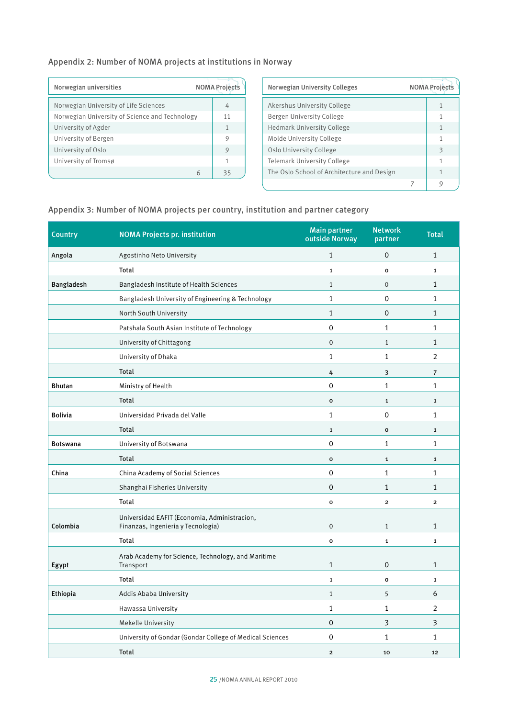## Appendix 2: Number of NOMA projects at institutions in Norway

| Norwegian universities                         | <b>NOMA Project</b> |
|------------------------------------------------|---------------------|
| Norwegian University of Life Sciences          | 4                   |
| Norwegian University of Science and Technology | 11                  |
| University of Agder                            | 1                   |
| University of Bergen                           | 9                   |
| University of Oslo                             | 9                   |
| University of Tromsø                           | 1                   |
|                                                | 35                  |

| Norwegian University Colleges              | <b>NOMA</b> Project |  |
|--------------------------------------------|---------------------|--|
| Akershus University College                |                     |  |
| Bergen University College                  | 1                   |  |
| Hedmark University College                 | 1                   |  |
| Molde University College                   | 1                   |  |
| Oslo University College                    | 3                   |  |
| Telemark University College                | 1                   |  |
| The Oslo School of Architecture and Design | 1                   |  |
|                                            |                     |  |

## Appendix 3: Number of NOMA projects per country, institution and partner category

| <b>Country</b>    | <b>NOMA Projects pr. institution</b>                                               | <b>Main partner</b><br>outside Norway | <b>Network</b><br>partner | <b>Total</b>   |
|-------------------|------------------------------------------------------------------------------------|---------------------------------------|---------------------------|----------------|
| Angola            | Agostinho Neto University                                                          | $\mathbf{1}$                          | $\overline{0}$            | $\mathbf{1}$   |
|                   | Total                                                                              | $\mathbf{1}$                          | $\mathbf{o}$              | $\mathbf{1}$   |
| <b>Bangladesh</b> | Bangladesh Institute of Health Sciences                                            | $\mathbf{1}$                          | $\mathbf 0$               | $\mathbf{1}$   |
|                   | Bangladesh University of Engineering & Technology                                  | $\mathbf{1}$                          | 0                         | 1              |
|                   | North South University                                                             | $\mathbf{1}$                          | $\mathbf 0$               | $\mathbf{1}$   |
|                   | Patshala South Asian Institute of Technology                                       | $\mathbf 0$                           | $\mathbf{1}$              | 1              |
|                   | University of Chittagong                                                           | $\mathbf 0$                           | $\mathbf{1}$              | $\mathbf{1}$   |
|                   | University of Dhaka                                                                | $\mathbf 1$                           | $\mathbf{1}$              | 2              |
|                   | Total                                                                              | 4                                     | 3                         | $\overline{7}$ |
| <b>Bhutan</b>     | Ministry of Health                                                                 | $\mathbf 0$                           | $\mathbf{1}$              | $\mathbf 1$    |
|                   | <b>Total</b>                                                                       | $\mathbf{o}$                          | $\mathbf{1}$              | $\mathbf{1}$   |
| <b>Bolivia</b>    | Universidad Privada del Valle                                                      | $\mathbf{1}$                          | $\mathbf 0$               | 1              |
|                   | Total                                                                              | $\mathbf{1}$                          | $\mathbf 0$               | $\mathbf 1$    |
| <b>Botswana</b>   | University of Botswana                                                             | $\mathbf 0$                           | $\mathbf{1}$              | $\mathbf{1}$   |
|                   | Total                                                                              | $\mathbf{o}$                          | $\mathbf 1$               | $\mathbf{1}$   |
| China             | China Academy of Social Sciences                                                   | $\mathbf 0$                           | $\mathbf{1}$              | 1              |
|                   | Shanghai Fisheries University                                                      | 0                                     | $\mathbf{1}$              | 1              |
|                   | Total                                                                              | $\mathbf 0$                           | $\overline{\mathbf{2}}$   | $\mathbf{2}$   |
| Colombia          | Universidad EAFIT (Economia, Administracion,<br>Finanzas, Ingenieria y Tecnologia) | $\mathbf 0$                           | $1\,$                     | $\mathbf{1}$   |
|                   | <b>Total</b>                                                                       | $\mathbf{o}$                          | 1                         | 1              |
| Egypt             | Arab Academy for Science, Technology, and Maritime<br>Transport                    | $\mathbf{1}$                          | $\overline{0}$            | $\mathbf{1}$   |
|                   | Total                                                                              | $\mathbf 1$                           | $\mathbf{o}$              | 1              |
| Ethiopia          | Addis Ababa University                                                             | $\mathbf{1}$                          | 5                         | 6              |
|                   | Hawassa University                                                                 | $\mathbf{1}$                          | $\mathbf{1}$              | 2              |
|                   | <b>Mekelle University</b>                                                          | $\mathbf 0$                           | 3                         | 3              |
|                   | University of Gondar (Gondar College of Medical Sciences                           | 0                                     | 1                         | 1              |
|                   | Total                                                                              | $\mathbf{2}$                          | 10                        | 12             |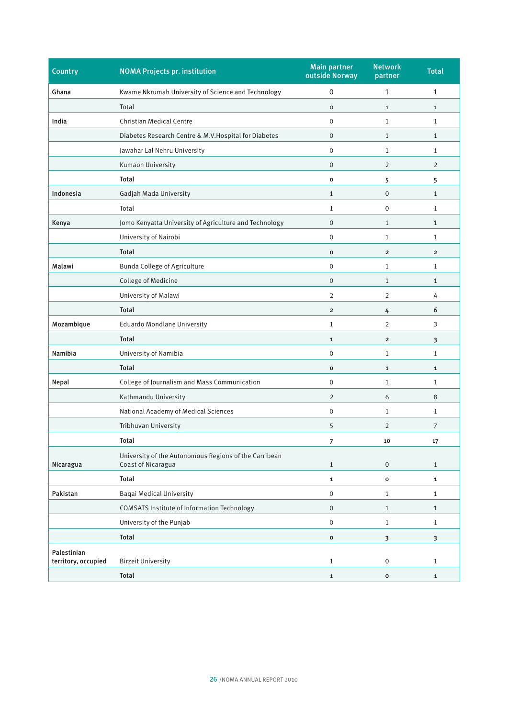| <b>Country</b>                     | <b>NOMA Projects pr. institution</b>                                        | <b>Main partner</b><br>outside Norway | <b>Network</b><br>partner | <b>Total</b>            |
|------------------------------------|-----------------------------------------------------------------------------|---------------------------------------|---------------------------|-------------------------|
| Ghana                              | Kwame Nkrumah University of Science and Technology                          | 0                                     | 1                         | 1                       |
|                                    | Total                                                                       | O                                     | $\mathbf{1}$              | $\mathbf{1}$            |
| India                              | Christian Medical Centre                                                    | $\mathbf{0}$                          | 1                         | 1                       |
|                                    | Diabetes Research Centre & M.V. Hospital for Diabetes                       | 0                                     | 1                         | $\mathbf{1}$            |
|                                    | Jawahar Lal Nehru University                                                | 0                                     | 1                         | 1                       |
|                                    | Kumaon University                                                           | $\mathbf 0$                           | 2                         | $\overline{2}$          |
|                                    | Total                                                                       | 0                                     | 5                         | 5                       |
| Indonesia                          | Gadjah Mada University                                                      | $\mathbf{1}$                          | $\mathbf 0$               | 1                       |
|                                    | Total                                                                       | 1                                     | $\mathbf 0$               | 1                       |
| Kenya                              | Jomo Kenyatta University of Agriculture and Technology                      | $\overline{0}$                        | $\mathbf{1}$              | $\mathbf{1}$            |
|                                    | University of Nairobi                                                       | 0                                     | 1                         | 1                       |
|                                    | <b>Total</b>                                                                | 0                                     | $\overline{\mathbf{c}}$   | $\overline{\mathbf{2}}$ |
| Malawi                             | Bunda College of Agriculture                                                | 0                                     | 1                         | 1                       |
|                                    | College of Medicine                                                         | 0                                     | $\mathbf{1}$              | 1                       |
|                                    | University of Malawi                                                        | 2                                     | 2                         | 4                       |
|                                    | <b>Total</b>                                                                | $\overline{2}$                        | 4                         | 6                       |
| Mozambique                         | <b>Eduardo Mondlane University</b>                                          | $\mathbf{1}$                          | $\overline{2}$            | 3                       |
|                                    | <b>Total</b>                                                                | $\mathbf{1}$                          | $\overline{\mathbf{c}}$   | 3                       |
| Namibia                            | University of Namibia                                                       | 0                                     | 1                         | $\mathbf{1}$            |
|                                    | <b>Total</b>                                                                | $\mathbf{o}$                          | $\mathbf{1}$              | $\mathbf{1}$            |
| Nepal                              | College of Journalism and Mass Communication                                | 0                                     | 1                         | 1                       |
|                                    | Kathmandu University                                                        | $\overline{2}$                        | 6                         | 8                       |
|                                    | National Academy of Medical Sciences                                        | 0                                     | 1                         | $\mathbf{1}$            |
|                                    | Tribhuvan University                                                        | 5                                     | 2                         | 7                       |
|                                    | Total                                                                       | 7                                     | 10                        | 17                      |
| Nicaragua                          | University of the Autonomous Regions of the Carribean<br>Coast of Nicaragua | $\mathbf{1}$                          | 0                         | $\mathbf{1}$            |
|                                    | <b>Total</b>                                                                | $\mathbf{1}$                          | 0                         | $\mathbf 1$             |
| Pakistan                           | <b>Baqai Medical University</b>                                             | 0                                     | $\mathbf{1}$              | $\mathbf{1}$            |
|                                    | <b>COMSATS Institute of Information Technology</b>                          | $\boldsymbol{0}$                      | $\mathbf{1}$              | $\mathbf{1}$            |
|                                    | University of the Punjab                                                    | $\mathbf 0$                           | $\mathbf{1}$              | $\mathbf{1}$            |
|                                    | Total                                                                       | $\mathbf 0$                           | 3                         | 3                       |
| Palestinian<br>territory, occupied | <b>Birzeit University</b>                                                   | $\mathbf{1}$                          | 0                         | $\mathbf{1}$            |
|                                    | <b>Total</b>                                                                | $\mathbf 1$                           | $\mathbf{o}$              | $\mathbf{1}$            |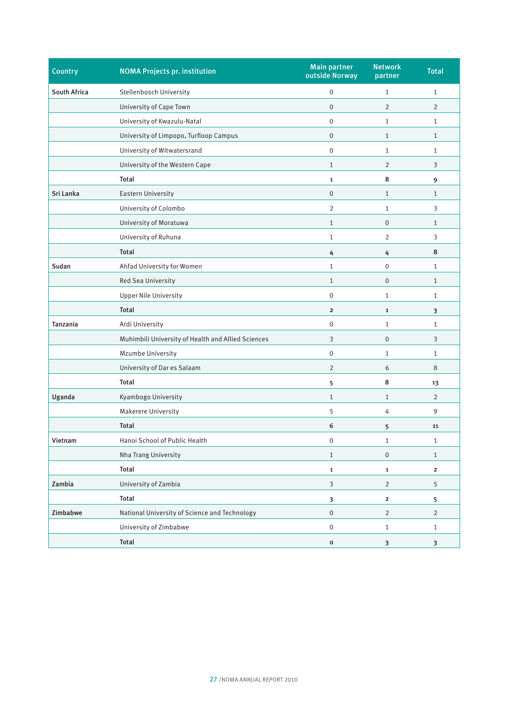| <b>Country</b> | <b>NOMA Projects pr. institution</b>               | <b>Main partner</b><br>outside Norway | <b>Network</b><br>partner | <b>Total</b>   |
|----------------|----------------------------------------------------|---------------------------------------|---------------------------|----------------|
| South Africa   | Stellenbosch University                            | 0                                     | $\mathbf{1}$              | $\mathbf{1}$   |
|                | University of Cape Town                            | $\mathbf 0$                           | $\overline{2}$            | 2              |
|                | University of Kwazulu-Natal                        | $\mathbf{0}$                          | $\mathbf{1}$              | $\mathbf{1}$   |
|                | University of Limpopo, Turfloop Campus             | $\mathbf 0$                           | $\mathbf{1}$              | $\mathbf{1}$   |
|                | University of Witwatersrand                        | $\mathbf{0}$                          | $\mathbf{1}$              | $\mathbf{1}$   |
|                | University of the Western Cape                     | $\mathbf{1}$                          | $\overline{2}$            | 3              |
|                | Total                                              | $\mathbf{1}$                          | 8                         | 9              |
| Sri Lanka      | Eastern University                                 | $\mathbf 0$                           | $\mathbf{1}$              | $\mathbf{1}$   |
|                | University of Colombo                              | $\overline{2}$                        | $\mathbf{1}$              | 3              |
|                | University of Moratuwa                             | $\mathbf{1}$                          | $\mathbf 0$               | $\mathbf{1}$   |
|                | University of Ruhuna                               | $\mathbf{1}$                          | $\overline{2}$            | 3              |
|                | <b>Total</b>                                       | 4                                     | 4                         | 8              |
| Sudan          | Ahfad University for Women                         | $\mathbf{1}$                          | 0                         | $\mathbf{1}$   |
|                | Red Sea University                                 | $\mathbf{1}$                          | 0                         | $\mathbf{1}$   |
|                | <b>Upper Nile University</b>                       | $\boldsymbol{0}$                      | $\mathbf{1}$              | 1              |
|                | <b>Total</b>                                       | $\overline{2}$                        | $\mathbf{1}$              | 3              |
| Tanzania       | Ardi University                                    | 0                                     | $\mathbf{1}$              | $\mathbf{1}$   |
|                | Muhimbili University of Health and Allied Sciences | 3                                     | 0                         | 3              |
|                | Mzumbe University                                  | 0                                     | $\mathbf{1}$              | $\mathbf{1}$   |
|                | University of Dar es Salaam                        | $\overline{2}$                        | 6                         | 8              |
|                | Total                                              | 5                                     | 8                         | 13             |
| Uganda         | Kyambogo University                                | $\mathbf{1}$                          | $\mathbf{1}$              | $\overline{2}$ |
|                | Makerere University                                | 5                                     | 4                         | 9              |
|                | <b>Total</b>                                       | 6                                     | 5                         | 11             |
| Vietnam        | Hanoi School of Public Health                      | $\boldsymbol{0}$                      | 1                         | 1              |
|                | Nha Trang University                               | $\mathbf{1}$                          | $\mathbf 0$               | $\mathbf{1}$   |
|                | <b>Total</b>                                       | $\mathbf{1}$                          | $\mathbf{1}$              | $\mathbf{2}$   |
| Zambia         | University of Zambia                               | 3                                     | $\overline{2}$            | 5              |
|                | <b>Total</b>                                       | 3                                     | $\overline{\mathbf{c}}$   | 5              |
| Zimbabwe       | National University of Science and Technology      | $\mathbf 0$                           | $\overline{2}$            | $\overline{2}$ |
|                | University of Zimbabwe                             | $\,0\,$                               | $\mathbf{1}$              | $\mathbf{1}$   |
|                | Total                                              | $\mathbf{o}$                          | 3                         | 3              |